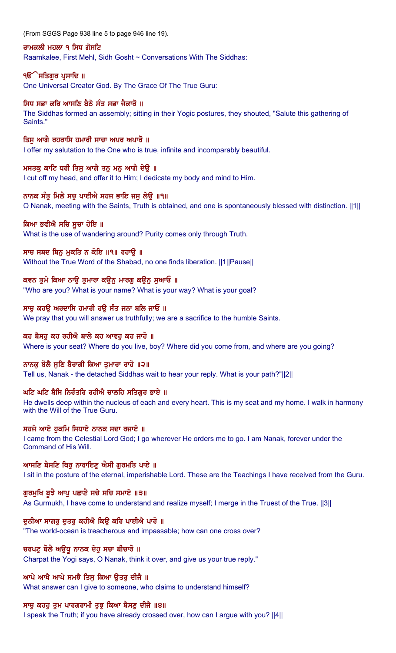(From SGGS Page 938 line 5 to page 946 line 19).

#### ਰਾਮਕਲੀ ਮਹਲਾ ੧ ਸਿਧ ਗੋਸਟਿ

Raamkalee, First Mehl, Sidh Gosht ~ Conversations With The Siddhas:

### **ੴ ਸਤਿਗਰ ਪਸਾਦਿ** ॥

One Universal Creator God. By The Grace Of The True Guru:

# ਸਿਧ ਸਭਾ ਕਰਿ ਆਸਣਿ ਬੈਠੇ ਸੰਤ ਸਭਾ ਜੈਕਾਰੋ ॥

The Siddhas formed an assembly; sitting in their Yogic postures, they shouted, "Salute this gathering of Saints."

### ਤਿਸੁ ਆਗੈ ਰਹਰਾਸਿ ਹਮਾਰੀ ਸਾਚਾ ਅਪਰ ਅਪਾਰੋ ॥

I offer my salutation to the One who is true, infinite and incomparably beautiful.

### ਮਸਤਕ ਕਾਟਿ ਧਰੀ ਤਿਸ ਆਗੈ ਤਨ ਮਨ ਆਗੈ ਦੇੳ ॥

I cut off my head, and offer it to Him; I dedicate my body and mind to Him.

### ਨਾਨਕ ਸੰਤ ਮਿਲੈ ਸਚ ਪਾਈਐ ਸਹਜ ਭਾਇ ਜਸ ਲੇੳ ॥੧॥

O Nanak, meeting with the Saints, Truth is obtained, and one is spontaneously blessed with distinction. ||1||

### ਕਿਆ ਭਵੀਐ ਸਚਿ ਸਚਾ ਹੋਇ ॥

What is the use of wandering around? Purity comes only through Truth.

### ਸਾਚ ਸਬਦ ਬਿਨ੍ਹ ਮੁਕਤਿ ਨ ਕੋਇ ॥੧॥ ਰਹਾਉ ॥

Without the True Word of the Shabad, no one finds liberation. ||1||Pause||

# ਕਵਨ ਤੁਮੇ ਕਿਆ ਨਾਉ ਤੁਮਾਰਾ ਕਉਨੂ ਮਾਰਗੂ ਕਉਨੂ ਸੁਆਓ ॥

"Who are you? What is your name? What is your way? What is your goal?

### ਸਾਚ ਕਹੳ ਅਰਦਾਸਿ ਹਮਾਰੀ ਹੳ ਸੰਤ ਜਨਾ ਬਲਿ ਜਾਓ ॥

We pray that you will answer us truthfully; we are a sacrifice to the humble Saints.

# ਕਹ ਬੈਸਹੂ ਕਹ ਰਹੀਐ ਬਾਲੇ ਕਹ ਆਵਹੂ ਕਹ ਜਾਹੋ ॥

Where is your seat? Where do you live, boy? Where did you come from, and where are you going?

#### ਨਾਨਕੂ ਬੋਲੈ ਸੁਣਿ ਬੈਰਾਗੀ ਕਿਆ ਤੁਮਾਰਾ ਰਾਹੋ ॥੨॥

Tell us, Nanak - the detached Siddhas wait to hear your reply. What is your path?"||2||

### ਘਟਿ ਘਟਿ ਬੈਸਿ ਨਿਰੰਤਰਿ ਰਹੀਐ ਚਾਲਹਿ ਸਤਿਗਰ ਭਾਏ ॥

He dwells deep within the nucleus of each and every heart. This is my seat and my home. I walk in harmony with the Will of the True Guru.

#### ਸਹਜੇ ਆਏ ਹਕਮਿ ਸਿਧਾਏ ਨਾਨਕ ਸਦਾ ਰਜਾਏ ॥

I came from the Celestial Lord God; I go wherever He orders me to go. I am Nanak, forever under the Command of His Will.

#### ਆਸਣਿ ਬੈਸਣਿ ਥਿਰੂ ਨਾਰਾਇਣੂ ਐਸੀ ਗੁਰਮਤਿ ਪਾਏ ॥

I sit in the posture of the eternal, imperishable Lord. These are the Teachings I have received from the Guru.

# ਗੁਰਮੁਖਿ ਬੁਝੈ ਆਪੂ ਪਛਾਣੈ ਸਚੇ ਸਚਿ ਸਮਾਏ ॥੩॥

As Gurmukh, I have come to understand and realize myself; I merge in the Truest of the True. ||3||

#### ਦਨੀਆ ਸਾਗਰ ਦਤਰ ਕਹੀਐ ਕਿੳ ਕਰਿ ਪਾਈਐ ਪਾਰੋ ॥

"The world-ocean is treacherous and impassable; how can one cross over?

#### ਚਰਪਟੂ ਬੋਲੈ ਅਉਧੂ ਨਾਨਕ ਦੇਹੁ ਸਚਾ ਬੀਚਾਰੋ ॥

Charpat the Yogi says, O Nanak, think it over, and give us your true reply."

#### ਆਪੇ ਆਖੈ ਆਪੇ ਸਮਝੈ ਤਿਸੁ ਕਿਆ ਉਤਰੁ ਦੀਜੈ ॥

What answer can I give to someone, who claims to understand himself?

#### ਸਾਚ ਕਹਹ ਤਮ ਪਾਰਗਰਾਮੀ ਤਝ ਕਿਆ ਬੈਸਣ ਦੀਜੈ ॥੪॥

I speak the Truth; if you have already crossed over, how can I argue with you? ||4||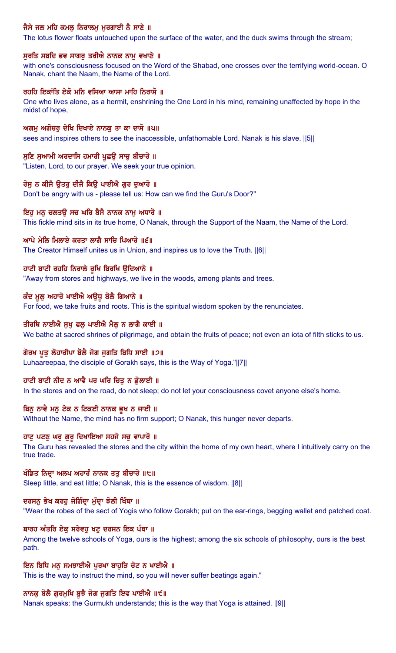# ਜੈਸੇ ਜਲ ਮਹਿ ਕਮਲੂ ਨਿਰਾਲਮੂ ਮੁਰਗਾਈ ਨੈ ਸਾਣੇ ॥

The lotus flower floats untouched upon the surface of the water, and the duck swims through the stream;

#### ਸੁਰਤਿ ਸਬਦਿ ਭਵ ਸਾਗਰੂ ਤਰੀਐ ਨਾਨਕ ਨਾਮੂ ਵਖਾਣੇ ॥

with one's consciousness focused on the Word of the Shabad, one crosses over the terrifying world-ocean. O Nanak, chant the Naam, the Name of the Lord.

### ਰਹਹਿ ਇਕਾਂਤਿ ਏਕੋ ਮਨਿ ਵਸਿਆ ਆਸਾ ਮਾਹਿ ਨਿਰਾਸੋ ॥

One who lives alone, as a hermit, enshrining the One Lord in his mind, remaining unaffected by hope in the midst of hope,

ਅਗਮੂ ਅਗੋਚਰੂ ਦੇਖਿ ਦਿਖਾਏ ਨਾਨਕੂ ਤਾ ਕਾ ਦਾਸੋ ॥੫॥ sees and inspires others to see the inaccessible, unfathomable Lord. Nanak is his slave. ||5||

# ਸੁਣਿ ਸੁਆਮੀ ਅਰਦਾਸਿ ਹਮਾਰੀ ਪੁਛਉ ਸਾਚੁ ਬੀਚਾਰੋ ॥

"Listen, Lord, to our prayer. We seek your true opinion.

# ਰੋਸੂ ਨ ਕੀਜੈ ਉਤਰੂ ਦੀਜੈ ਕਿਉ ਪਾਈਐ ਗੁਰ ਦੁਆਰੋ ॥

Don't be angry with us - please tell us: How can we find the Guru's Door?"

# ਇਹੂ ਮਨੂ ਚਲਤਉ ਸਚ ਘਰਿ ਬੈਸੈ ਨਾਨਕ ਨਾਮੂ ਅਧਾਰੋ ॥

This fickle mind sits in its true home, O Nanak, through the Support of the Naam, the Name of the Lord.

# ਆਪੇ ਮੇਲਿ ਮਿਲਾਏ ਕਰਤਾ ਲਾਗੈ ਸਾਚਿ ਪਿਆਰੋ ॥੬॥

The Creator Himself unites us in Union, and inspires us to love the Truth. ||6||

# ਹਾਟੀ ਬਾਟੀ ਰਹਹਿ ਨਿਰਾਲੇ ਰੁਖਿ ਬਿਰਖਿ ਉਦਿਆਨੇ ॥

"Away from stores and highways, we live in the woods, among plants and trees.

# ਕੰਦ ਮੁਲੂ ਅਹਾਰੋ ਖਾਈਐ ਅਉਧੂ ਬੋਲੈ ਗਿਆਨੇ ॥

For food, we take fruits and roots. This is the spiritual wisdom spoken by the renunciates.

# ਤੀਰਥਿ ਨਾਈਐ ਸੁਖੂ ਫਲੂ ਪਾਈਐ ਮੈਲੂ ਨ ਲਾਗੈ ਕਾਈ ॥

We bathe at sacred shrines of pilgrimage, and obtain the fruits of peace; not even an iota of filth sticks to us.

# ਗੋਰਖ ਪੁਤੂ ਲੋਹਾਰੀਪਾ ਬੋਲੈ ਜੋਗ ਜੁਗਤਿ ਬਿਧਿ ਸਾਈ ॥੭॥

Luhaareepaa, the disciple of Gorakh says, this is the Way of Yoga."||7||

# ਹਾਟੀ ਬਾਟੀ ਨੀਦ ਨ ਆਵੈ ਪਰ ਘਰਿ ਚਿਤ ਨ ਡੋਲਾਈ ॥

In the stores and on the road, do not sleep; do not let your consciousness covet anyone else's home.

# ਬਿਨ ਨਾਵੈ ਮਨ ਟੇਕ ਨ ਟਿਕਈ ਨਾਨਕ ਭੁਖ ਨ ਜਾਈ ॥

Without the Name, the mind has no firm support; O Nanak, this hunger never departs.

# ਹਾਟੂ ਪਟਣੂ ਘਰੂ ਗੁਰੂ ਦਿਖਾਇਆ ਸਹਜੇ ਸਚੂ ਵਾਪਾਰੋ ॥

The Guru has revealed the stores and the city within the home of my own heart, where I intuitively carry on the true trade.

# ਖੰਡਿਤ ਨਿਦਾ ਅਲਪ ਅਹਾਰੰ ਨਾਨਕ ਤਤੁ ਬੀਚਾਰੋ ॥੮॥

Sleep little, and eat little; O Nanak, this is the essence of wisdom. ||8||

# ਦਰਸਨੂ ਭੇਖ ਕਰਹੂ ਜੋਗਿੰਦ੍ਰਾ ਮੁੰਦ੍ਰਾ ਝੋਲੀ ਖਿੰਥਾ ॥

"Wear the robes of the sect of Yogis who follow Gorakh; put on the ear-rings, begging wallet and patched coat.

# ਬਾਰਹ ਅੰਤਰਿ ਏਕ ਸਰੇਵਹ ਖਟ ਦਰਸਨ ਇਕ ਪੰਥਾ ॥

Among the twelve schools of Yoga, ours is the highest; among the six schools of philosophy, ours is the best path.

# ਇਨ ਬਿਧਿ ਮਨੁ ਸਮਝਾਈਐ ਪੂਰਖਾ ਬਾਹੁੜਿ ਚੋਟ ਨ ਖਾਈਐ ॥

This is the way to instruct the mind, so you will never suffer beatings again."

# ਨਾਨਕੂ ਬੋਲੈ ਗੁਰਮੁਖਿ ਬੂਝੈ ਜੋਗ ਜੁਗਤਿ ਇਵ ਪਾਈਐ ॥੯॥

Nanak speaks: the Gurmukh understands; this is the way that Yoga is attained. ||9||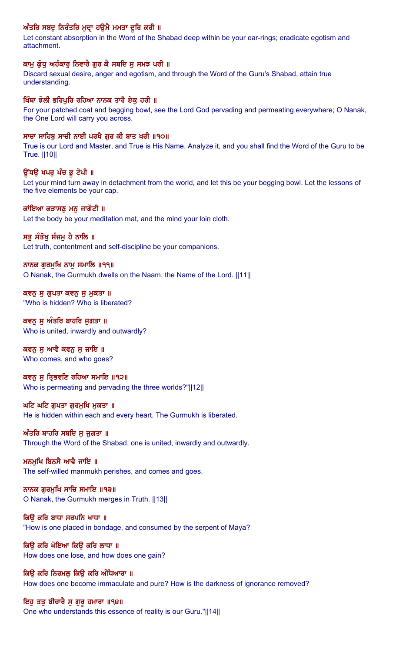# ਅੰਤਰਿ ਸਬਦੂ ਨਿਰੰਤਰਿ ਮੁਦਾ ਹਉਮੈ ਮਮਤਾ ਦੂਰਿ ਕਰੀ ॥

Let constant absorption in the Word of the Shabad deep within be your ear-rings; eradicate egotism and attachment.

#### ਕਾਮ ਕ੍ਰੋਧ ਅਹੰਕਾਰ ਨਿਵਾਰੈ ਗਰ ਕੈ ਸਬਦਿ ਸ ਸਮਝ ਪਰੀ ॥

Discard sexual desire, anger and egotism, and through the Word of the Guru's Shabad, attain true understanding.

#### ਖਿੰਥਾ ਝੋਲੀ ਭਰਿਪੁਰਿ ਰਹਿਆ ਨਾਨਕ ਤਾਰੈ ਏਕੂ ਹਰੀ ॥

For your patched coat and begging bowl, see the Lord God pervading and permeating everywhere; O Nanak, the One Lord will carry you across.

#### ਸਾਚਾ ਸਾਹਿਬ ਸਾਚੀ ਨਾਈ ਪਰਖੈ ਗਰ ਕੀ ਬਾਤ ਖਰੀ ॥੧੦॥

True is our Lord and Master, and True is His Name. Analyze it, and you shall find the Word of the Guru to be True. ||10||

### ਉਂਧੳ ਖਪਰ ਪੰਚ ਭੁ ਟੋਪੀ ॥

Let your mind turn away in detachment from the world, and let this be your begging bowl. Let the lessons of the five elements be your cap.

#### ਕਾਂਇਆ ਕੜਾਸਣ ਮਨ ਜਾਗੋਟੀ ॥

Let the body be your meditation mat, and the mind your loin cloth.

#### ਸਤੁ ਸੰਤੋਖੁ ਸੰਜਮੁ ਹੈ ਨਾਲਿ ॥

Let truth, contentment and self-discipline be your companions.

### ਨਾਨਕ ਗੁਰਮੁਖਿ ਨਾਮੁ ਸਮਾਲਿ ॥੧੧॥

O Nanak, the Gurmukh dwells on the Naam, the Name of the Lord. ||11||

ਕਵਨੂ ਸੁ ਗੁਪਤਾ ਕਵਨੂ ਸੁ ਮੁਕਤਾ ॥ "Who is hidden? Who is liberated?

ਕਵਨ ਸੁ ਅੰਤਰਿ ਬਾਹਰਿ ਜੁਗਤਾ ॥ Who is united, inwardly and outwardly?

# ਕਵਨੂ ਸੁ ਆਵੈ ਕਵਨੂ ਸੁ ਜਾਇ ॥

Who comes, and who goes?

#### ਕਵਨੂ ਸੂ ਤ੍ਰਿਭਵਣਿ ਰਹਿਆ ਸਮਾਇ ॥੧੨॥

Who is permeating and pervading the three worlds?"||12||

#### ਘਟਿ ਘਟਿ ਗੁਪਤਾ ਗੁਰਮੁਖਿ ਮੁਕਤਾ ॥

He is hidden within each and every heart. The Gurmukh is liberated.

#### ਅੰਤਰਿ ਬਾਹਰਿ ਸਬਦਿ ਸ ਜਗਤਾ ॥

Through the Word of the Shabad, one is united, inwardly and outwardly.

# ਮਨਮਖਿ ਬਿਨਸੈ ਆਵੈ ਜਾਇ ॥

The self-willed manmukh perishes, and comes and goes.

# ਨਾਨਕ ਗਰਮਖਿ ਸਾਚਿ ਸਮਾਇ ॥੧੩॥

O Nanak, the Gurmukh merges in Truth. ||13||

# ਕਿੳ ਕਰਿ ਬਾਧਾ ਸਰਪਨਿ ਖਾਧਾ ॥

"How is one placed in bondage, and consumed by the serpent of Maya?

#### ਕਿਉ ਕਰਿ ਖੋਇਆ ਕਿਉ ਕਰਿ ਲਾਧਾ ॥ How does one lose, and how does one gain?

ਕਿਉ ਕਰਿ ਨਿਰਮਲੂ ਕਿਉ ਕਰਿ ਅੰਧਿਆਰਾ ॥ How does one become immaculate and pure? How is the darkness of ignorance removed?

# ਇਹੂ ਤਤੂ ਬੀਚਾਰੈ ਸੂ ਗੁਰੂ ਹਮਾਰਾ ॥੧੪॥ One who understands this essence of reality is our Guru."||14||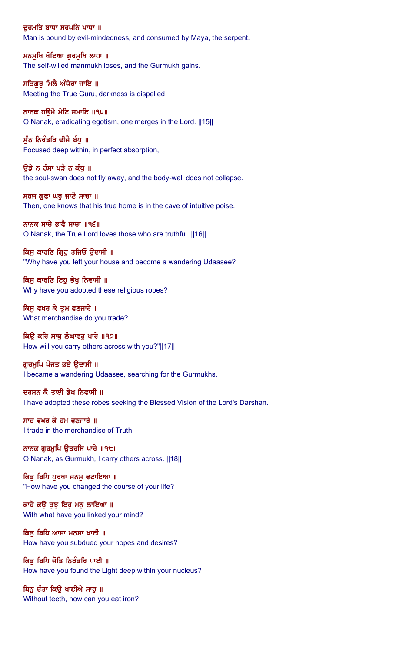ਦੁਰਮਤਿ ਬਾਧਾ ਸਰਪਨਿ ਖਾਧਾ ॥ Man is bound by evil-mindedness, and consumed by Maya, the serpent.

ਮਨਮੁਖਿ ਖੋਇਆ ਗੁਰਮੁਖਿ ਲਾਧਾ ॥ The self-willed manmukh loses, and the Gurmukh gains.

ਸਤਿਗਰ ਮਿਲੈ ਅੰਧੇਰਾ ਜਾਇ ॥ Meeting the True Guru, darkness is dispelled.

ਨਾਨਕ ਹਉਮੈ ਮੇਟਿ ਸਮਾਇ ॥੧੫॥ O Nanak, eradicating egotism, one merges in the Lord. ||15||

ਸੁੰਨ ਨਿਰੰਤਰਿ ਦੀਜੈ ਬੰਧੂ ॥ Focused deep within, in perfect absorption,

ੳਡੈ ਨ ਹੰਸਾ ਪੜੈ ਨ ਕੰਧ ॥ the soul-swan does not fly away, and the body-wall does not collapse.

ਸਹਜ ਗਫਾ ਘਰ ਜਾਣੈ ਸਾਚਾ ॥ Then, one knows that his true home is in the cave of intuitive poise.

ਨਾਨਕ ਸਾਚੇ ਭਾਵੈ ਸਾਚਾ ॥੧੬॥ O Nanak, the True Lord loves those who are truthful. ||16||

ਕਿਸੁ ਕਾਰਣਿ ਗ੍ਰਿਹੁ ਤਜਿਓ ਉਦਾਸੀ ॥ "Why have you left your house and become a wandering Udaasee?

ਕਿਸ ਕਾਰਣਿ ਇਹ ਭੇਖ ਨਿਵਾਸੀ ॥ Why have you adopted these religious robes?

ਕਿਸ ਵਖਰ ਕੇ ਤਮ ਵਣਜਾਰੇ ॥ What merchandise do you trade?

ਕਿਉ ਕਰਿ ਸਾਥੂ ਲੰਘਾਵਹੂ ਪਾਰੇ ॥੧੭॥ How will you carry others across with you?"||17||

ਗੁਰਮੁਖਿ ਖੋਜਤ ਭਏ ਉਦਾਸੀ ॥ I became a wandering Udaasee, searching for the Gurmukhs.

ਦਰਸਨ ਕੈ ਤਾਈ ਭੇਖ ਨਿਵਾਸੀ ॥ I have adopted these robes seeking the Blessed Vision of the Lord's Darshan.

ਸਾਚ ਵਖਰ ਕੇ ਹਮ ਵਣਜਾਰੇ ॥ I trade in the merchandise of Truth.

ਨਾਨਕ ਗਰਮਖਿ ੳਤਰਸਿ ਪਾਰੇ ॥੧੮॥ O Nanak, as Gurmukh, I carry others across. ||18||

ਕਿਤੂ ਬਿਧਿ ਪੂਰਖਾ ਜਨਮੂ ਵਟਾਇਆ ॥ "How have you changed the course of your life?

ਕਾਹੇ ਕਉ ਤੁਝ ਇਹ ਮਨੁ ਲਾਇਆ ॥ With what have you linked your mind?

ਕਿਤ ਬਿਧਿ ਆਸਾ ਮਨਸਾ ਖਾਈ ॥ How have you subdued your hopes and desires?

ਕਿਤ ਬਿਧਿ ਜੋਤਿ ਨਿਰੰਤਰਿ ਪਾਈ ॥ How have you found the Light deep within your nucleus?

ਬਿਨ ਦੰਤਾ ਕਿੳ ਖਾਈਐ ਸਾਰ ॥ Without teeth, how can you eat iron?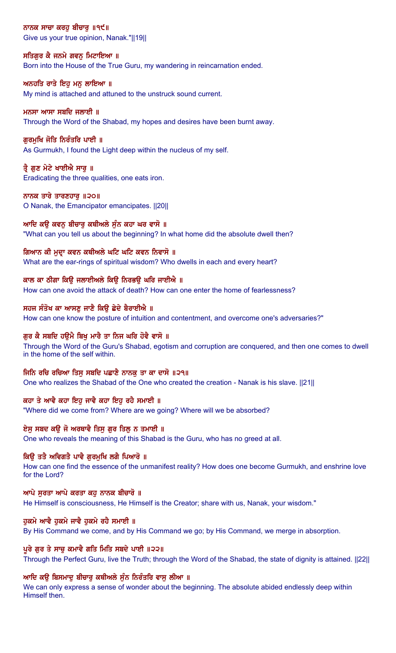ਨਾਨਕ ਸਾਚਾ ਕਰਹੁ ਬੀਚਾਰੂ ॥੧੯॥ Give us your true opinion, Nanak."||19||

# ਸਤਿਗੁਰ ਕੈ ਜਨਮੇ ਗਵਨੂ ਮਿਟਾਇਆ ॥

Born into the House of the True Guru, my wandering in reincarnation ended.

# ਅਨਹਤਿ ਰਾਤੇ ਇਹ ਮਨ ਲਾਇਆ ॥

My mind is attached and attuned to the unstruck sound current.

# ਮਨਸਾ ਆਸਾ ਸਬਦਿ ਜਲਾਈ ॥

Through the Word of the Shabad, my hopes and desires have been burnt away.

# ਗੁਰਮੁਖਿ ਜੋਤਿ ਨਿਰੰਤਰਿ ਪਾਈ ॥

As Gurmukh, I found the Light deep within the nucleus of my self.

# ਤੈ ਗਣ ਮੇਟੇ ਖਾਈਐ ਸਾਰ ॥

Eradicating the three qualities, one eats iron.

# ਨਾਨਕ ਤਾਰੇ ਤਾਰਣਹਾਰ ॥੨੦॥

O Nanak, the Emancipator emancipates. ||20||

# ਆਦਿ ਕੳ ਕਵਨ ਬੀਚਾਰ ਕਥੀਅਲੇ ਸੰਨ ਕਹਾ ਘਰ ਵਾਸੋ ॥

"What can you tell us about the beginning? In what home did the absolute dwell then?

# ਗਿਆਨ ਕੀ ਮੁਦਾ ਕਵਨ ਕਥੀਅਲੇ ਘਟਿ ਘਟਿ ਕਵਨ ਨਿਵਾਸੋ ॥

What are the ear-rings of spiritual wisdom? Who dwells in each and every heart?

# ਕਾਲ ਕਾ ਠੀਗਾ ਕਿੳ ਜਲਾਈਅਲੇ ਕਿੳ ਨਿਰਭੳ ਘਰਿ ਜਾਈਐ ॥

How can one avoid the attack of death? How can one enter the home of fearlessness?

# ਸਹਜ ਸੰਤੋਖ ਕਾ ਆਸਣ ਜਾਣੈ ਕਿੳ ਛੇਦੇ ਬੈਰਾਈਐ ॥

How can one know the posture of intuition and contentment, and overcome one's adversaries?"

# ਗੁਰ ਕੈ ਸਬਦਿ ਹਉਮੈ ਬਿਖੁ ਮਾਰੈ ਤਾ ਨਿਜ ਘਰਿ ਹੋਵੈ ਵਾਸੋ ॥

Through the Word of the Guru's Shabad, egotism and corruption are conquered, and then one comes to dwell in the home of the self within.

# ਜਿਨਿ ਰਚਿ ਰਚਿਆ ਤਿਸ ਸਬਦਿ ਪਛਾਣੈ ਨਾਨਕੁ ਤਾ ਕਾ ਦਾਸੋ ॥੨੧॥

One who realizes the Shabad of the One who created the creation - Nanak is his slave. ||21||

# ਕਹਾ ਤੇ ਆਵੈ ਕਹਾ ਇਹ ਜਾਵੈ ਕਹਾ ਇਹ ਰਹੈ ਸਮਾਈ ॥

"Where did we come from? Where are we going? Where will we be absorbed?

# ਏਸ ਸਬਦ ਕੳ ਜੋ ਅਰਥਾਵੈ ਤਿਸ ਗਰ ਤਿਲ ਨ ਤਮਾਈ ॥

One who reveals the meaning of this Shabad is the Guru, who has no greed at all.

# ਕਿੳ ਤਤੈ ਅਵਿਗਤੈ ਪਾਵੈ ਗਰਮਖਿ ਲਗੈ ਪਿਆਰੋ ॥

How can one find the essence of the unmanifest reality? How does one become Gurmukh, and enshrine love for the Lord?

### ਆਪੇ ਸਰਤਾ ਆਪੇ ਕਰਤਾ ਕਹੁ ਨਾਨਕ ਬੀਚਾਰੋ ॥

He Himself is consciousness, He Himself is the Creator; share with us, Nanak, your wisdom."

# ਹਕਮੇ ਆਵੈ ਹਕਮੇ ਜਾਵੈ ਹਕਮੇ ਰਹੈ ਸਮਾਈ ॥

By His Command we come, and by His Command we go; by His Command, we merge in absorption.

# ਪਰੇ ਗਰ ਤੇ ਸਾਚ ਕਮਾਵੈ ਗਤਿ ਮਿਤਿ ਸਬਦੇ ਪਾਈ ॥੨੨॥

Through the Perfect Guru, live the Truth; through the Word of the Shabad, the state of dignity is attained. ||22||

# ਆਦਿ ਕਉ ਬਿਸਮਾਦੂ ਬੀਚਾਰੂ ਕਥੀਅਲੇ ਸੁੰਨ ਨਿਰੰਤਰਿ ਵਾਸੂ ਲੀਆ ॥

We can only express a sense of wonder about the beginning. The absolute abided endlessly deep within Himself then.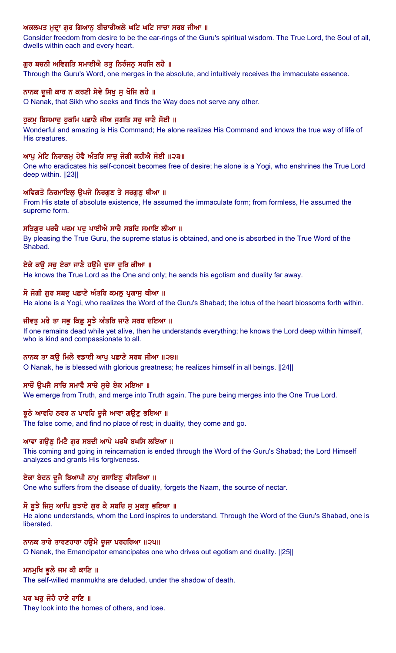# ਅਕਲਪਤ ਮੁਦਾ ਗੁਰ ਗਿਆਨੂ ਬੀਚਾਰੀਅਲੇ ਘਟਿ ਘਟਿ ਸਾਚਾ ਸਰਬ ਜੀਆ ॥

Consider freedom from desire to be the ear-rings of the Guru's spiritual wisdom. The True Lord, the Soul of all, dwells within each and every heart.

# ਗਰ ਬਚਨੀ ਅਵਿਗਤਿ ਸਮਾਈਐ ਤਤ ਨਿਰੰਜਨ ਸਹਜਿ ਲਹੈ ॥

Through the Guru's Word, one merges in the absolute, and intuitively receives the immaculate essence.

### ਨਾਨਕ ਦੂਜੀ ਕਾਰ ਨ ਕਰਣੀ ਸੇਵੈ ਸਿਖੁ ਸੁ ਖੋਜਿ ਲਹੈ ॥

O Nanak, that Sikh who seeks and finds the Way does not serve any other.

#### ਹੁਕਮੁ ਬਿਸਮਾਦੁ ਹੁਕਮਿ ਪਛਾਣੈ ਜੀਅ ਜੁਗਤਿ ਸਚੁ ਜਾਣੈ ਸੋਈ ॥

Wonderful and amazing is His Command; He alone realizes His Command and knows the true way of life of His creatures.

#### ਆਪੂ ਮੇਟਿ ਨਿਰਾਲਮੂ ਹੋਵੈ ਅੰਤਰਿ ਸਾਚੂ ਜੋਗੀ ਕਹੀਐ ਸੋਈ ॥੨੩॥

One who eradicates his self-conceit becomes free of desire; he alone is a Yogi, who enshrines the True Lord deep within.  $||23||$ 

## ਅਵਿਗਤੋ ਨਿਰਮਾਇਲੂ ਉਪਜੇ ਨਿਰਗੁਣ ਤੇ ਸਰਗੁਣੂ ਥੀਆ ॥

From His state of absolute existence, He assumed the immaculate form; from formless, He assumed the supreme form.

### ਸਤਿਗੁਰ ਪਰਚੈ ਪਰਮ ਪਦੂ ਪਾਈਐ ਸਾਚੈ ਸਬਦਿ ਸਮਾਇ ਲੀਆ ॥

By pleasing the True Guru, the supreme status is obtained, and one is absorbed in the True Word of the Shabad.

### ਏਕੇ ਕਉ ਸਚੂ ਏਕਾ ਜਾਣੈ ਹਉਮੈ ਦੂਜਾ ਦੂਰਿ ਕੀਆ ॥

He knows the True Lord as the One and only; he sends his egotism and duality far away.

# ਸੋ ਜੋਗੀ ਗੁਰ ਸਬਦੁ ਪਛਾਣੈ ਅੰਤਰਿ ਕਮਲੁ ਪ੍ਰਗਾਸੁ ਥੀਆ ॥

He alone is a Yogi, who realizes the Word of the Guru's Shabad; the lotus of the heart blossoms forth within.

### ਜੀਵਤੂ ਮਰੈ ਤਾ ਸਭੂ ਕਿਛੂ ਸੂਝੈ ਅੰਤਰਿ ਜਾਣੈ ਸਰਬ ਦਇਆ ॥

If one remains dead while yet alive, then he understands everything; he knows the Lord deep within himself, who is kind and compassionate to all.

#### ਨਾਨਕ ਤਾ ਕੳ ਮਿਲੈ ਵਡਾਈ ਆਪ ਪਛਾਣੈ ਸਰਬ ਜੀਆ ॥੨੪॥

O Nanak, he is blessed with glorious greatness; he realizes himself in all beings. ||24||

# ਸਾਚੌ ਉਪਜੈ ਸਾਚਿ ਸਮਾਵੈ ਸਾਚੇ ਸੂਚੇ ਏਕ ਮਇਆ ॥

We emerge from Truth, and merge into Truth again. The pure being merges into the One True Lord.

#### ਝੁਠੇ ਆਵਹਿ ਠਵਰ ਨ ਪਾਵਹਿ ਦੁਜੈ ਆਵਾ ਗਉਣੂ ਭਇਆ ॥

The false come, and find no place of rest; in duality, they come and go.

#### ਆਵਾ ਗਉਣੂ ਮਿਟੈ ਗੁਰ ਸਬਦੀ ਆਪੇ ਪਰਖੈ ਬਖਸਿ ਲਇਆ ॥

This coming and going in reincarnation is ended through the Word of the Guru's Shabad; the Lord Himself analyzes and grants His forgiveness.

#### ਏਕਾ ਬੇਦਨ ਦੂਜੈ ਬਿਆਪੀ ਨਾਮੂ ਰਸਾਇਣੂ ਵੀਸਰਿਆ ॥

One who suffers from the disease of duality, forgets the Naam, the source of nectar.

#### ਸੋ ਬੁਝੈ ਜਿਸੁ ਆਪਿ ਬੁਝਾਏ ਗੁਰ ਕੈ ਸਬਦਿ ਸੁ ਮੁਕਤੁ ਭਇਆ ॥

He alone understands, whom the Lord inspires to understand. Through the Word of the Guru's Shabad, one is liberated.

#### ਨਾਨਕ ਤਾਰੇ ਤਾਰਣਹਾਰਾ ਹਉਮੈ ਦੂਜਾ ਪਰਹਰਿਆ ॥੨੫॥

O Nanak, the Emancipator emancipates one who drives out egotism and duality. ||25||

#### ਮਨਮੁਖਿ ਭੁਲੈ ਜਮ ਕੀ ਕਾਣਿ ॥

The self-willed manmukhs are deluded, under the shadow of death.

#### ਪਰ ਘਰ ਜੋਹੇ ਹਾਣੇ ਹਾਣਿ ॥

They look into the homes of others, and lose.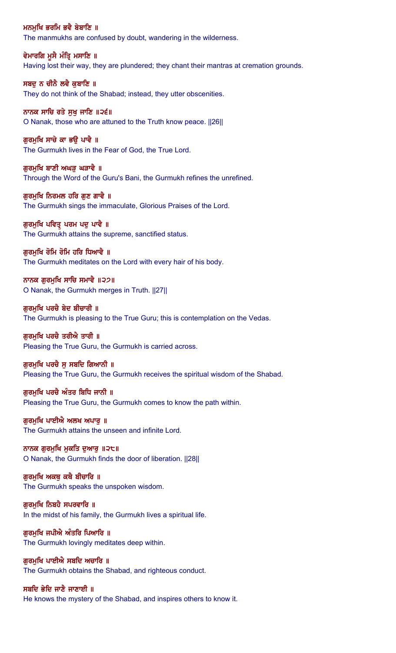ਮਨਮੁਖਿ ਭਰਮਿ ਭਵੈ ਬੇਬਾਣਿ ॥ The manmukhs are confused by doubt, wandering in the wilderness.

ਵੇਮਾਰਗਿ ਮੁਸੈ ਮੰਤ੍ਰਿ ਮਸਾਣਿ ॥ Having lost their way, they are plundered; they chant their mantras at cremation grounds.

ਸਬਦੁ ਨ ਚੀਨੈ ਲਵੈ ਕੁਬਾਣਿ ॥ They do not think of the Shabad; instead, they utter obscenities.

ਨਾਨਕ ਸਾਚਿ ਰਤੇ ਸੁਖੁ ਜਾਣਿ ॥੨੬॥ O Nanak, those who are attuned to the Truth know peace. ||26||

ਗੁਰਮੁਖਿ ਸਾਚੇ ਕਾ ਭਉ ਪਾਵੈ ॥ The Gurmukh lives in the Fear of God, the True Lord.

ਗਰਮਖਿ ਬਾਣੀ ਅਘੜ ਘੜਾਵੈ ॥ Through the Word of the Guru's Bani, the Gurmukh refines the unrefined.

ਗੁਰਮੁਖਿ ਨਿਰਮਲ ਹਰਿ ਗੁਣ ਗਾਵੈ ॥ The Gurmukh sings the immaculate, Glorious Praises of the Lord.

ਗੁਰਮੁਖਿ ਪਵਿਤ੍ਰ ਪਰਮ ਪਦੁ ਪਾਵੈ ॥ The Gurmukh attains the supreme, sanctified status.

ਗੁਰਮੁਖਿ ਰੋਮਿ ਰੋਮਿ ਹਰਿ ਧਿਆਵੈ ॥ The Gurmukh meditates on the Lord with every hair of his body.

ਨਾਨਕ ਗਰਮਖਿ ਸਾਚਿ ਸਮਾਵੈ ॥੨੭॥ O Nanak, the Gurmukh merges in Truth. ||27||

ਗਰਮਖਿ ਪਰਚੈ ਬੇਦ ਬੀਚਾਰੀ ॥ The Gurmukh is pleasing to the True Guru; this is contemplation on the Vedas.

ਗਰਮਖਿ ਪਰਚੈ ਤਰੀਐ ਤਾਰੀ ॥ Pleasing the True Guru, the Gurmukh is carried across.

ਗੁਰਮੁਖਿ ਪਰਚੈ ਸੁ ਸਬਦਿ ਗਿਆਨੀ ॥ Pleasing the True Guru, the Gurmukh receives the spiritual wisdom of the Shabad.

ਗਰਮਖਿ ਪਰਚੈ ਅੰਤਰ ਬਿਧਿ ਜਾਨੀ ॥ Pleasing the True Guru, the Gurmukh comes to know the path within.

ਗਰਮਖਿ ਪਾਈਐ ਅਲਖ ਅਪਾਰ ॥ The Gurmukh attains the unseen and infinite Lord.

ਨਾਨਕ ਗਰਮਖਿ ਮਕਤਿ ਦਆਰ ॥੨੮॥ O Nanak, the Gurmukh finds the door of liberation. ||28||

ਗਰਮਖਿ ਅਕਥ ਕਥੈ ਬੀਚਾਰਿ ॥ The Gurmukh speaks the unspoken wisdom.

ਗੁਰਮੁਖਿ ਨਿਬਹੈ ਸਪਰਵਾਰਿ ॥ In the midst of his family, the Gurmukh lives a spiritual life.

ਗਰਮਖਿ ਜਪੀਐ ਅੰਤਰਿ ਪਿਆਰਿ ॥ The Gurmukh lovingly meditates deep within.

ਗੁਰਮੁਖਿ ਪਾਈਐ ਸਬਦਿ ਅਚਾਰਿ ॥ The Gurmukh obtains the Shabad, and righteous conduct.

ਸਬਦਿ ਭੇਦਿ ਜਾਣੈ ਜਾਣਾਈ ॥ He knows the mystery of the Shabad, and inspires others to know it.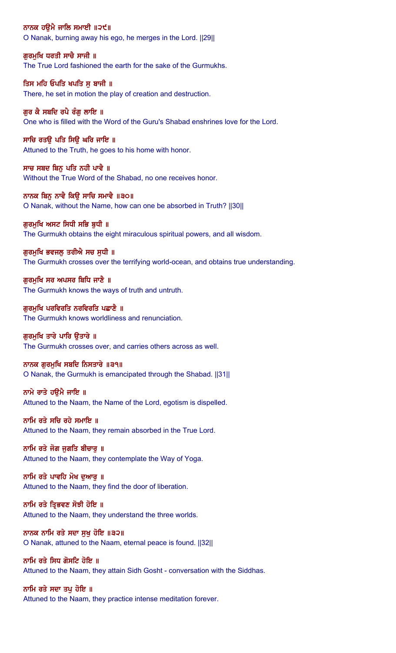ਨਾਨਕ ਹਉਮੈ ਜਾਲਿ ਸਮਾਈ ॥੨੯॥ O Nanak, burning away his ego, he merges in the Lord. ||29||

ਗੁਰਮੁਖਿ ਧਰਤੀ ਸਾਚੈ ਸਾਜੀ ॥ The True Lord fashioned the earth for the sake of the Gurmukhs.

ਤਿਸ ਮਹਿ ਓਪਤਿ ਖਪਤਿ ਸ ਬਾਜੀ ॥ There, he set in motion the play of creation and destruction.

ਗਰ ਕੈ ਸਬਦਿ ਰਪੈ ਰੰਗ ਲਾਇ ॥ One who is filled with the Word of the Guru's Shabad enshrines love for the Lord.

ਸਾਚਿ ਰਤਉ ਪਤਿ ਸਿਉ ਘਰਿ ਜਾਇ ॥ Attuned to the Truth, he goes to his home with honor.

ਸਾਚ ਸਬਦ ਬਿਨ ਪਤਿ ਨਹੀ ਪਾਵੈ ॥ Without the True Word of the Shabad, no one receives honor.

ਨਾਨਕ ਬਿਨੁ ਨਾਵੈ ਕਿਉ ਸਾਚਿ ਸਮਾਵੈ ॥੩੦॥ O Nanak, without the Name, how can one be absorbed in Truth? ||30||

ਗਰਮਖਿ ਅਸਟ ਸਿਧੀ ਸਭਿ ਬਧੀ ॥ The Gurmukh obtains the eight miraculous spiritual powers, and all wisdom.

ਗੁਰਮੁਖਿ ਭਵਜਲੂ ਤਰੀਐ ਸਚ ਸੁਧੀ ॥ The Gurmukh crosses over the terrifying world-ocean, and obtains true understanding.

ਗਰਮਖਿ ਸਰ ਅਪਸਰ ਬਿਧਿ ਜਾਣੈ ॥ The Gurmukh knows the ways of truth and untruth.

ਗੁਰਮੁਖਿ ਪਰਵਿਰਤਿ ਨਰਵਿਰਤਿ ਪਛਾਣੈ ॥ The Gurmukh knows worldliness and renunciation.

ਗਰਮਖਿ ਤਾਰੇ ਪਾਰਿ ੳਤਾਰੇ ॥ The Gurmukh crosses over, and carries others across as well.

ਨਾਨਕ ਗੁਰਮੁਖਿ ਸਬਦਿ ਨਿਸਤਾਰੇ ॥੩੧॥ O Nanak, the Gurmukh is emancipated through the Shabad. ||31||

ਨਾਮੇ ਰਾਤੇ ਹੳਮੈ ਜਾਇ ॥ Attuned to the Naam, the Name of the Lord, egotism is dispelled.

ਨਾਮਿ ਰਤੇ ਸਚਿ ਰਹੇ ਸਮਾਇ ॥ Attuned to the Naam, they remain absorbed in the True Lord.

ਨਾਮਿ ਰਤੇ ਜੋਗ ਜਗਤਿ ਬੀਚਾਰ ॥ Attuned to the Naam, they contemplate the Way of Yoga.

ਨਾਮਿ ਰਤੇ ਪਾਵਹਿ ਮੋਖ ਦਆਰ ॥ Attuned to the Naam, they find the door of liberation.

ਨਾਮਿ ਰਤੇ ਤ੍ਰਿਭਵਣ ਸੋਝੀ ਹੋਇ ॥ Attuned to the Naam, they understand the three worlds.

ਨਾਨਕ ਨਾਮਿ ਰਤੇ ਸਦਾ ਸੁਖੁ ਹੋਇ ॥੩੨॥ O Nanak, attuned to the Naam, eternal peace is found. ||32||

ਨਾਮਿ ਰਤੇ ਸਿਧ ਗੋਸਟਿ ਹੋਇ ॥ Attuned to the Naam, they attain Sidh Gosht - conversation with the Siddhas.

ਨਾਮਿ ਰਤੇ ਸਦਾ ਤਪ ਹੋਇ ॥ Attuned to the Naam, they practice intense meditation forever.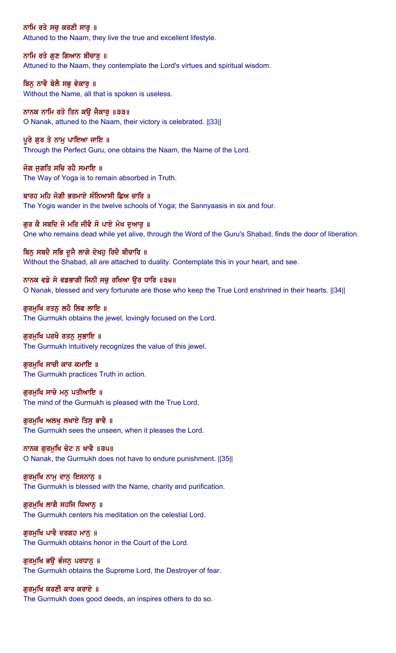ਨਾਮਿ ਰਤੇ ਸਚੁ ਕਰਣੀ ਸਾਰੂ ॥ Attuned to the Naam, they live the true and excellent lifestyle.

ਨਾਮਿ ਰਤੇ ਗੁਣ ਗਿਆਨ ਬੀਚਾਰੂ ॥ Attuned to the Naam, they contemplate the Lord's virtues and spiritual wisdom.

ਬਿਨੂ ਨਾਵੈ ਬੋਲੈ ਸਭੂ ਵੇਕਾਰੂ ॥ Without the Name, all that is spoken is useless.

ਨਾਨਕ ਨਾਮਿ ਰਤੇ ਤਿਨ ਕਉ ਜੈਕਾਰੂ ॥੩੩॥ O Nanak, attuned to the Naam, their victory is celebrated. ||33||

# ਪੂਰੇ ਗੁਰ ਤੇ ਨਾਮੂ ਪਾਇਆ ਜਾਇ ॥

Through the Perfect Guru, one obtains the Naam, the Name of the Lord.

ਜੋਗ ਜਗਤਿ ਸਚਿ ਰਹੈ ਸਮਾਇ ॥ The Way of Yoga is to remain absorbed in Truth.

ਬਾਰਹ ਮਹਿ ਜੋਗੀ ਭਰਮਾਏ ਸੰਨਿਆਸੀ ਛਿਅ ਚਾਰਿ ॥ The Yogis wander in the twelve schools of Yoga; the Sannyaasis in six and four.

ਗਰ ਕੈ ਸਬਦਿ ਜੋ ਮਰਿ ਜੀਵੈ ਸੋ ਪਾਏ ਮੋਖ ਦਆਰ ॥ One who remains dead while yet alive, through the Word of the Guru's Shabad, finds the door of liberation.

ਬਿਨੂ ਸਬਦੈ ਸਭਿ ਦੂਜੈ ਲਾਗੇ ਦੇਖਹੂ ਰਿਦੈ ਬੀਚਾਰਿ ॥ Without the Shabad, all are attached to duality. Contemplate this in your heart, and see.

ਨਾਨਕ ਵਡੇ ਸੇ ਵਡਭਾਗੀ ਜਿਨੀ ਸਚ ਰਖਿਆ ੳਰ ਧਾਰਿ ॥੩੪॥ O Nanak, blessed and very fortunate are those who keep the True Lord enshrined in their hearts. ||34||

ਗਰਮਖਿ ਰਤਨ ਲਹੈ ਲਿਵ ਲਾਇ ॥ The Gurmukh obtains the jewel, lovingly focused on the Lord.

ਗਰਮਖਿ ਪਰਖੈ ਰਤਨ ਸਭਾਇ ॥ The Gurmukh intuitively recognizes the value of this jewel.

ਗੁਰਮੁਖਿ ਸਾਚੀ ਕਾਰ ਕਮਾਇ ॥ The Gurmukh practices Truth in action.

ਗੁਰਮੁਖਿ ਸਾਚੇ ਮਨੁ ਪਤੀਆਇ ॥ The mind of the Gurmukh is pleased with the True Lord.

ਗਰਮਖਿ ਅਲਖ ਲਖਾਏ ਤਿਸ ਭਾਵੈ ॥ The Gurmukh sees the unseen, when it pleases the Lord.

ਨਾਨਕ ਗਰਮਖਿ ਚੋਟ ਨ ਖਾਵੈ ॥੩੫॥ O Nanak, the Gurmukh does not have to endure punishment. ||35||

ਗੁਰਮੁਖਿ ਨਾਮੂ ਦਾਨੂ ਇਸਨਾਨੂ ॥ The Gurmukh is blessed with the Name, charity and purification.

ਗੁਰਮੁਖਿ ਲਾਗੈ ਸਹਜਿ ਧਿਆਨੂ ॥ The Gurmukh centers his meditation on the celestial Lord.

ਗੁਰਮੁਖਿ ਪਾਵੈ ਦਰਗਹ ਮਾਨੂ ॥ The Gurmukh obtains honor in the Court of the Lord.

ਗੁਰਮੁਖਿ ਭਉ ਭੰਜਨੂ ਪਰਧਾਨੂ ॥ The Gurmukh obtains the Supreme Lord, the Destroyer of fear.

ਗਰਮਖਿ ਕਰਣੀ ਕਾਰ ਕਰਾਏ ॥ The Gurmukh does good deeds, an inspires others to do so.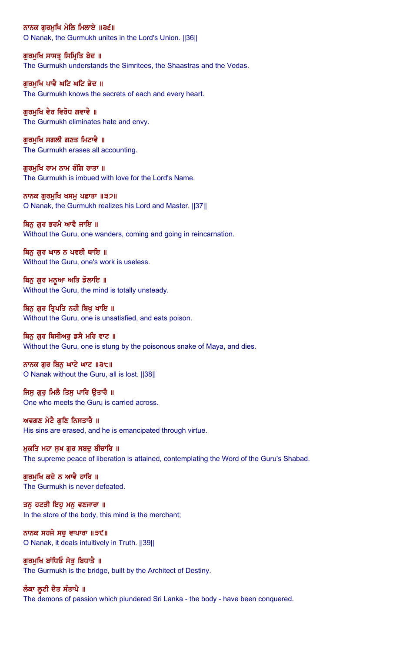ਨਾਨਕ ਗੁਰਮੁਖਿ ਮੇਲਿ ਮਿਲਾਏ ॥੩੬॥ O Nanak, the Gurmukh unites in the Lord's Union. ||36||

ਗੁਰਮੁਖਿ ਸਾਸਤ੍ਰ ਸਿਮ੍ਰਿਤਿ ਬੇਦ ॥ The Gurmukh understands the Simritees, the Shaastras and the Vedas.

ਗਰਮਖਿ ਪਾਵੈ ਘਟਿ ਘਟਿ ਭੇਦ ॥ The Gurmukh knows the secrets of each and every heart.

ਗੁਰਮੁਖਿ ਵੈਰ ਵਿਰੋਧ ਗਵਾਵੈ ॥ The Gurmukh eliminates hate and envy.

ਗੁਰਮੁਖਿ ਸਗਲੀ ਗਣਤ ਮਿਟਾਵੈ ॥ The Gurmukh erases all accounting.

ਗਰਮਖਿ ਰਾਮ ਨਾਮ ਰੰਗਿ ਰਾਤਾ ॥ The Gurmukh is imbued with love for the Lord's Name.

ਨਾਨਕ ਗੁਰਮੁਖਿ ਖਸਮੁ ਪਛਾਤਾ ॥੩੭॥ O Nanak, the Gurmukh realizes his Lord and Master. ||37||

ਬਿਨ ਗਰ ਭਰਮੈ ਆਵੈ ਜਾਇ ॥

Without the Guru, one wanders, coming and going in reincarnation.

ਬਿਨੂ ਗੁਰ ਘਾਲ ਨ ਪਵਈ ਥਾਇ ॥ Without the Guru, one's work is useless.

ਬਿਨੂ ਗੁਰ ਮਨੁਆ ਅਤਿ ਡੋਲਾਇ ॥ Without the Guru, the mind is totally unsteady.

ਬਿਨੂ ਗੁਰ ਤ੍ਰਿਪਤਿ ਨਹੀ ਬਿਖੂ ਖਾਇ ॥ Without the Guru, one is unsatisfied, and eats poison.

ਬਿਨੂ ਗੁਰ ਬਿਸੀਅਰੂ ਡਸੈ ਮਰਿ ਵਾਟ ॥ Without the Guru, one is stung by the poisonous snake of Maya, and dies.

ਨਾਨਕ ਗੁਰ ਬਿਨੁ ਘਾਟੇ ਘਾਟ ॥੩੮॥ O Nanak without the Guru, all is lost. ||38||

ਜਿਸੂ ਗੁਰੂ ਮਿਲੈ ਤਿਸੂ ਪਾਰਿ ਉਤਾਰੈ ॥ One who meets the Guru is carried across.

ਅਵਗਣ ਮੇਟੈ ਗਣਿ ਨਿਸਤਾਰੈ ॥ His sins are erased, and he is emancipated through virtue.

ਮਕਤਿ ਮਹਾ ਸਖ ਗਰ ਸਬਦ ਬੀਚਾਰਿ ॥ The supreme peace of liberation is attained, contemplating the Word of the Guru's Shabad.

ਗਰਮਖਿ ਕਦੇ ਨ ਆਵੈ ਹਾਰਿ ॥ The Gurmukh is never defeated.

ਤਨ ਹਟੜੀ ਇਹ ਮਨੁ ਵਣਜਾਰਾ ॥ In the store of the body, this mind is the merchant;

ਨਾਨਕ ਸਹਜੇ ਸਚੁ ਵਾਪਾਰਾ ॥੩੯॥ O Nanak, it deals intuitively in Truth. ||39||

ਗੁਰਮੁਖਿ ਬਾਂਧਿਓ ਸੇਤੁ ਬਿਧਾਤੈ ॥ The Gurmukh is the bridge, built by the Architect of Destiny.

ਲੰਕਾ ਲੁਟੀ ਦੈਤ ਸੰਤਾਪੈ ॥ The demons of passion which plundered Sri Lanka - the body - have been conquered.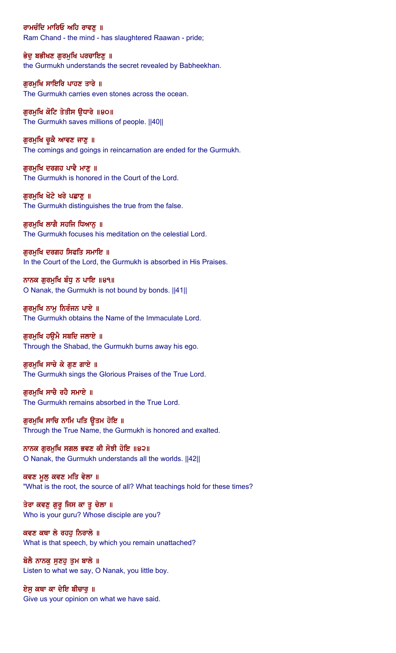ਰਾਮਚੰਦਿ ਮਾਰਿਓ ਅਹਿ ਰਾਵਣੂ ॥ Ram Chand - the mind - has slaughtered Raawan - pride;

ਭੇਦੂ ਬਭੀਖਣ ਗੁਰਮੁਖਿ ਪਰਚਾਇਣੂ ॥ the Gurmukh understands the secret revealed by Babheekhan.

ਗਰਮਖਿ ਸਾਇਰਿ ਪਾਹਣ ਤਾਰੇ ॥ The Gurmukh carries even stones across the ocean.

ਗੁਰਮੁਖਿ ਕੋਟਿ ਤੇਤੀਸ ਉਧਾਰੇ ॥੪੦॥ The Gurmukh saves millions of people. ||40||

ਗੁਰਮੁਖਿ ਚੁਕੈ ਆਵਣ ਜਾਣੂ ॥ The comings and goings in reincarnation are ended for the Gurmukh.

ਗਰਮਖਿ ਦਰਗਹ ਪਾਵੈ ਮਾਣ ॥ The Gurmukh is honored in the Court of the Lord.

ਗੁਰਮੁਖਿ ਖੋਟੇ ਖਰੇ ਪਛਾਣੂ ॥ The Gurmukh distinguishes the true from the false.

ਗਰਮਖਿ ਲਾਗੈ ਸਹਜਿ ਧਿਆਨ ॥ The Gurmukh focuses his meditation on the celestial Lord.

ਗੁਰਮੁਖਿ ਦਰਗਹ ਸਿਫਤਿ ਸਮਾਇ ॥ In the Court of the Lord, the Gurmukh is absorbed in His Praises.

ਨਾਨਕ ਗੁਰਮੁਖਿ ਬੰਧੂ ਨ ਪਾਇ ॥੪੧॥ O Nanak, the Gurmukh is not bound by bonds. ||41||

ਗਰਮਖਿ ਨਾਮ ਨਿਰੰਜਨ ਪਾਏ ॥ The Gurmukh obtains the Name of the Immaculate Lord.

ਗਰਮਖਿ ਹੳਮੈ ਸਬਦਿ ਜਲਾਏ ॥ Through the Shabad, the Gurmukh burns away his ego.

ਗੁਰਮੁਖਿ ਸਾਚੇ ਕੇ ਗੁਣ ਗਾਏ ॥ The Gurmukh sings the Glorious Praises of the True Lord.

ਗਰਮਖਿ ਸਾਚੈ ਰਹੈ ਸਮਾਏ ॥ The Gurmukh remains absorbed in the True Lord.

ਗੁਰਮੁਖਿ ਸਾਚਿ ਨਾਮਿ ਪਤਿ ਉਤਮ ਹੋਇ ॥ Through the True Name, the Gurmukh is honored and exalted.

ਨਾਨਕ ਗਰਮਖਿ ਸਗਲ ਭਵਣ ਕੀ ਸੋਝੀ ਹੋਇ ॥੪੨॥ O Nanak, the Gurmukh understands all the worlds. ||42||

ਕਵਣ ਮੁਲ਼ ਕਵਣ ਮਤਿ ਵੇਲਾ ॥ "What is the root, the source of all? What teachings hold for these times?

ਤੇਰਾ ਕਵਣੂ ਗੁਰੂ ਜਿਸ ਕਾ ਤੂ ਚੇਲਾ ॥ Who is your guru? Whose disciple are you?

ਕਵਣ ਕਥਾ ਲੇ ਰਹਹੁ ਨਿਰਾਲੇ ॥ What is that speech, by which you remain unattached?

ਬੋਲੈ ਨਾਨਕੁ ਸੁਣਹੁ ਤੁਮ ਬਾਲੇ ॥ Listen to what we say, O Nanak, you little boy.

ਏਸ ਕਥਾ ਕਾ ਦੇਇ ਬੀਚਾਰ ॥ Give us your opinion on what we have said.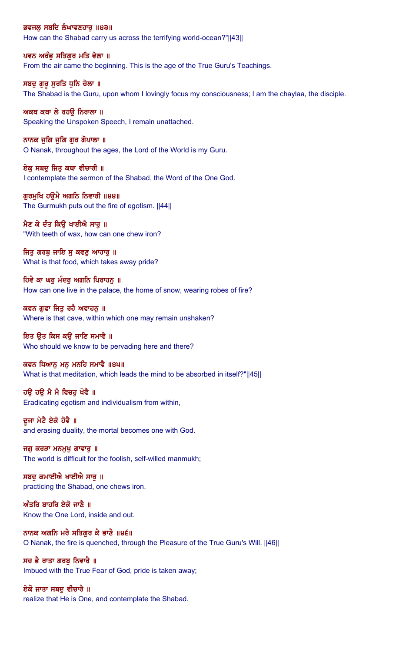ਭਵਜਲੂ ਸਬਦਿ ਲੰਘਾਵਣਹਾਰੂ ॥੪੩॥ How can the Shabad carry us across the terrifying world-ocean?"||43||

ਪਵਨ ਅਰੰਭੂ ਸਤਿਗੁਰ ਮਤਿ ਵੇਲਾ ॥ From the air came the beginning. This is the age of the True Guru's Teachings.

ਸਬਦੁ ਗੁਰੂ ਸੁਰਤਿ ਧੁਨਿ ਚੇਲਾ ॥ The Shabad is the Guru, upon whom I lovingly focus my consciousness; I am the chaylaa, the disciple.

ਅਕਥ ਕਥਾ ਲੇ ਰਹੳ ਨਿਰਾਲਾ ॥ Speaking the Unspoken Speech, I remain unattached.

ਨਾਨਕ ਜੁਗਿ ਜੁਗਿ ਗੁਰ ਗੋਪਾਲਾ ॥ O Nanak, throughout the ages, the Lord of the World is my Guru.

ਏਕ ਸਬਦ ਜਿਤ ਕਥਾ ਵੀਚਾਰੀ ॥ I contemplate the sermon of the Shabad, the Word of the One God.

ਗੁਰਮੁਖਿ ਹਉਮੈ ਅਗਨਿ ਨਿਵਾਰੀ ॥੪੪॥ The Gurmukh puts out the fire of egotism. ||44||

ਮੈਣ ਕੇ ਦੰਤ ਕਿੳ ਖਾਈਐ ਸਾਰ ॥ "With teeth of wax, how can one chew iron?

ਜਿਤੂ ਗਰਬੂ ਜਾਇ ਸੂ ਕਵਣੂ ਆਹਾਰੂ ॥ What is that food, which takes away pride?

ਹਿਵੈ ਕਾ ਘਰ ਮੰਦਰ ਅਗਨਿ ਪਿਰਾਹਨ ॥ How can one live in the palace, the home of snow, wearing robes of fire?

ਕਵਨ ਗਫਾ ਜਿਤ ਰਹੈ ਅਵਾਹਨ ॥ Where is that cave, within which one may remain unshaken?

ਇਤ ਉਤ ਕਿਸ ਕਉ ਜਾਣਿ ਸਮਾਵੈ ॥ Who should we know to be pervading here and there?

ਕਵਨ ਧਿਆਨੂ ਮਨੂ ਮਨਹਿ ਸਮਾਵੈ ॥੪੫॥ What is that meditation, which leads the mind to be absorbed in itself?"||45||

ਹੳ ਹੳ ਮੈ ਮੈ ਵਿਚਹ ਖੋਵੈ ॥ Eradicating egotism and individualism from within,

ਦੂਜਾ ਮੇਟੈ ਏਕੋ ਹੋਵੈ ॥ and erasing duality, the mortal becomes one with God.

ਜਗੁ ਕਰੜਾ ਮਨਮੁਖੁ ਗਾਵਾਰੁ ॥ The world is difficult for the foolish, self-willed manmukh;

ਸਬਦੂ ਕਮਾਈਐ ਖਾਈਐ ਸਾਰੂ ॥ practicing the Shabad, one chews iron.

ਅੰਤਰਿ ਬਾਹਰਿ ਏਕੋ ਜਾਣੈ $\,$  ॥ Know the One Lord, inside and out.

ਨਾਨਕ ਅਗਨਿ ਮਰੈ ਸਤਿਗੁਰ ਕੈ ਭਾਣੈ ॥੪੬॥ O Nanak, the fire is quenched, through the Pleasure of the True Guru's Will. ||46||

ਸਚ ਭੈ ਰਾਤਾ ਗਰਬ ਨਿਵਾਰੈ ॥ Imbued with the True Fear of God, pride is taken away;

ਏਕੋ ਜਾਤਾ ਸਬਦ ਵੀਚਾਰੈ ॥ realize that He is One, and contemplate the Shabad.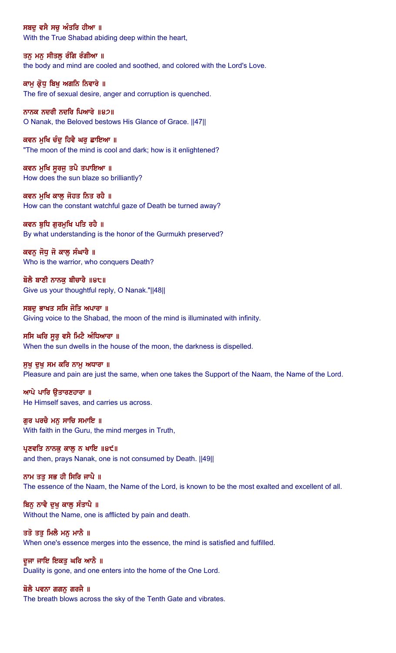ਸਬਦੂ ਵਸੈ ਸਚੂ ਅੰਤਰਿ ਹੀਆ ॥ With the True Shabad abiding deep within the heart,

ਤਨੂ ਮਨੂ ਸੀਤਲੂ ਰੰਗਿ ਰੰਗੀਆ ॥ the body and mind are cooled and soothed, and colored with the Lord's Love.

ਕਾਮੂ ਕ੍ਰੋਧੂ ਬਿਖੂ ਅਗਨਿ ਨਿਵਾਰੇ ॥ The fire of sexual desire, anger and corruption is quenched.

ਨਾਨਕ ਨਦਰੀ ਨਦਰਿ ਪਿਆਰੇ ॥੪੭॥ O Nanak, the Beloved bestows His Glance of Grace. ||47||

ਕਵਨ ਮੁਖਿ ਚੰਦੂ ਹਿਵੈ ਘਰੂ ਛਾਇਆ ॥ "The moon of the mind is cool and dark; how is it enlightened?

ਕਵਨ ਮਖਿ ਸਰਜ ਤਪੈ ਤਪਾਇਆ ॥ How does the sun blaze so brilliantly?

ਕਵਨ ਮੁਖਿ ਕਾਲੂ ਜੋਹਤ ਨਿਤ ਰਹੈ ॥ How can the constant watchful gaze of Death be turned away?

ਕਵਨ ਬਧਿ ਗਰਮਖਿ ਪਤਿ ਰਹੈ ॥ By what understanding is the honor of the Gurmukh preserved?

ਕਵਨ ਜੋਧੂ ਜੋ ਕਾਲੂ ਸੰਘਾਰੈ ॥ Who is the warrior, who conquers Death?

ਬੋਲੈ ਬਾਣੀ ਨਾਨਕ ਬੀਚਾਰੈ ॥੪੮॥ Give us your thoughtful reply, O Nanak."||48||

ਸਬਦ ਭਾਖਤ ਸਸਿ ਜੋਤਿ ਅਪਾਰਾ ॥ Giving voice to the Shabad, the moon of the mind is illuminated with infinity.

ਸਸਿ ਘਰਿ ਸਰ ਵਸੈ ਮਿਟੈ ਅੰਧਿਆਰਾ ॥ When the sun dwells in the house of the moon, the darkness is dispelled.

ਸੁਖੁ ਦੁਖੁ ਸਮ ਕਰਿ ਨਾਮੁ ਅਧਾਰਾ ॥ Pleasure and pain are just the same, when one takes the Support of the Naam, the Name of the Lord.

ਆਪੇ ਪਾਰਿ ੳਤਾਰਣਹਾਰਾ $\parallel$ He Himself saves, and carries us across.

ਗਰ ਪਰਚੈ ਮਨ ਸਾਚਿ ਸਮਾਇ ॥ With faith in the Guru, the mind merges in Truth,

ਪੁਣਵਤਿ ਨਾਨਕ ਕਾਲ ਨ ਖਾਇ ॥੪੯॥ and then, prays Nanak, one is not consumed by Death. ||49||

ਨਾਮ ਤਤ ਸਭ ਹੀ ਸਿਰਿ ਜਾਪੈ ॥ The essence of the Naam, the Name of the Lord, is known to be the most exalted and excellent of all.

ਬਿਨੂ ਨਾਵੈ ਦੁਖੂ ਕਾਲੂ ਸੰਤਾਪੈ ॥ Without the Name, one is afflicted by pain and death.

ਤਤੋ ਤਤੁ ਮਿਲੈ ਮਨੁ ਮਾਨੈ ॥ When one's essence merges into the essence, the mind is satisfied and fulfilled.

ਦੂਜਾ ਜਾਇ ਇਕਤੂ ਘਰਿ ਆਨੈ ॥ Duality is gone, and one enters into the home of the One Lord.

ਬੋਲੈ ਪਵਨਾ ਗਗਨ ਗਰਜੈ ॥ The breath blows across the sky of the Tenth Gate and vibrates.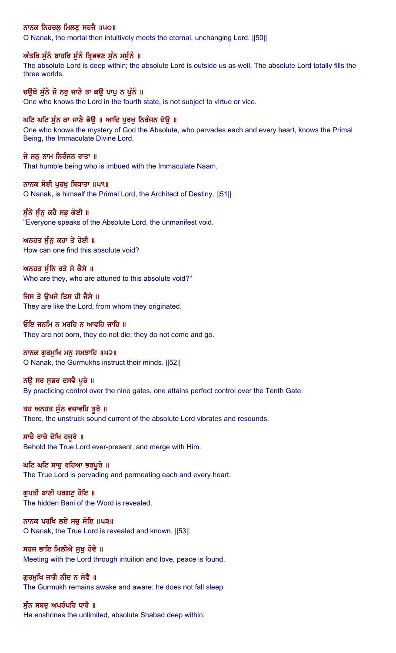# ਨਾਨਕ ਨਿਹਚਲੂ ਮਿਲਣੂ ਸਹਜੈ ॥੫੦॥

O Nanak, the mortal then intuitively meets the eternal, unchanging Lord. ||50||

# ਅੰਤਰਿ ਸੁੰਨੰ ਬਾਹਰਿ ਸੁੰਨੰ ਤ੍ਰਿਭਵਣ ਸੁੰਨ ਮਸੁੰਨੰ ॥

The absolute Lord is deep within; the absolute Lord is outside us as well. The absolute Lord totally fills the three worlds.

# ਚਉਥੇ ਸੁੰਨੈ ਜੋ ਨਰੁ ਜਾਣੈ ਤਾ ਕਉ ਪਾਪੂ ਨ ਪੁੰਨੰ ॥

One who knows the Lord in the fourth state, is not subject to virtue or vice.

# ਘਟਿ ਘਟਿ ਸੁੰਨ ਕਾ ਜਾਣੈ ਭੇਉ ॥ ਆਦਿ ਪੂਰਖੂ ਨਿਰੰਜਨ ਦੇਉ ॥

One who knows the mystery of God the Absolute, who pervades each and every heart, knows the Primal Being, the Immaculate Divine Lord.

### ਜੋ ਜਨੂ ਨਾਮ ਨਿਰੰਜਨ ਰਾਤਾ ॥

That humble being who is imbued with the Immaculate Naam,

### ਨਾਨਕ ਸੋਈ ਪਰਖ ਬਿਧਾਤਾ ॥੫੧॥

O Nanak, is himself the Primal Lord, the Architect of Destiny. ||51||

### ਸੁੰਨੋ ਸੁੰਨੂ ਕਹੈ ਸਭੂ ਕੋਈ ॥

"Everyone speaks of the Absolute Lord, the unmanifest void.

# ਅਨਹਤ ਸੰਨ ਕਹਾ ਤੇ ਹੋਈ ॥

How can one find this absolute void?

# ਅਨਹਤ ਸੁੰਨਿ ਰਤੇ ਸੇ ਕੈਸੇ ॥

Who are they, who are attuned to this absolute void?"

# ਜਿਸ ਤੇ ਉਪਜੇ ਤਿਸ ਹੀ ਜੈਸੇ ॥

They are like the Lord, from whom they originated.

#### ਓਇ ਜਨਮਿ ਨ ਮਰਹਿ ਨ ਆਵਹਿ ਜਾਹਿ ॥

They are not born, they do not die; they do not come and go.

# ਨਾਨਕ ਗੁਰਮੁਖਿ ਮਨੁ ਸਮਝਾਹਿ ॥੫੨॥

O Nanak, the Gurmukhs instruct their minds. ||52||

# ਨੳ ਸਰ ਸਭਰ ਦਸਵੈ ਪਰੇ ॥

By practicing control over the nine gates, one attains perfect control over the Tenth Gate.

# ਤਹ ਅਨਹਤ ਸੁੰਨ ਵਜਾਵਹਿ ਤੁਰੇ ॥

There, the unstruck sound current of the absolute Lord vibrates and resounds.

# ਸਾਚੈ ਰਾਚੇ ਦੇਖਿ ਹਜੁਰੇ ॥

Behold the True Lord ever-present, and merge with Him.

# ਘਟਿ ਘਟਿ ਸਾਚੁ ਰਹਿਆ ਭਰਪੁਰੇ ॥

The True Lord is pervading and permeating each and every heart.

### ਗੁਪਤੀ ਬਾਣੀ ਪਰਗਟੂ ਹੋਇ ॥ The hidden Bani of the Word is revealed.

ਨਾਨਕ ਪਰਖਿ ਲਏ ਸਚੁ ਸੋਇ ॥੫੩॥ O Nanak, the True Lord is revealed and known. ||53||

# ਸਹਜ ਭਾਇ ਮਿਲੀਐ ਸਖ ਹੋਵੈ ॥

Meeting with the Lord through intuition and love, peace is found.

# ਗੁਰਮੁਖਿ ਜਾਗੈ ਨੀਦ ਨ ਸੋਵੈ ॥

The Gurmukh remains awake and aware; he does not fall sleep.

# ਸੰਨ ਸਬਦ ਅਪਰੰਪਰਿ ਧਾਰੈ ॥

He enshrines the unlimited, absolute Shabad deep within.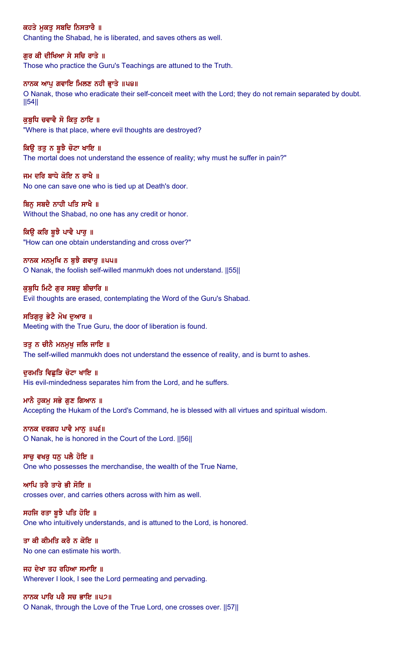# ਕਹਤੇ ਮੁਕਤੂ ਸਬਦਿ ਨਿਸਤਾਰੈ ॥

Chanting the Shabad, he is liberated, and saves others as well.

# ਗੁਰ ਕੀ ਦੀਖਿਆ ਸੇ ਸਚਿ ਰਾਤੇ ॥

Those who practice the Guru's Teachings are attuned to the Truth.

#### ਨਾਨਕ ਆਪੂ ਗਵਾਇ ਮਿਲਣ ਨਹੀ ਭ੍ਰਾਤੇ ॥ਪ੪॥

O Nanak, those who eradicate their self-conceit meet with the Lord; they do not remain separated by doubt. ||54||

# ਕੁਬੁਧਿ ਚਵਾਵੈ ਸੋ ਕਿਤੁ ਠਾਇ ॥

"Where is that place, where evil thoughts are destroyed?

#### ਕਿਉ ਤਤੁ ਨ ਬੁਝੈ ਚੋਟਾ ਖਾਇ ॥

The mortal does not understand the essence of reality; why must he suffer in pain?"

ਜਮ ਦਰਿ ਬਾਧੇ ਕੋਇ ਨ ਰਾਖੈ ॥ No one can save one who is tied up at Death's door.

#### ਬਿਨ ਸਬਦੈ ਨਾਹੀ ਪਤਿ ਸਾਖੈ ॥

Without the Shabad, no one has any credit or honor.

# ਕਿਉ ਕਰਿ ਬੁਝੈ ਪਾਵੈ ਪਾਰੁ ॥

"How can one obtain understanding and cross over?"

#### ਨਾਨਕ ਮਨਮੁਖਿ ਨ ਬੁਝੈ ਗਵਾਰੁ ॥੫੫॥ O Nanak, the foolish self-willed manmukh does not understand. ||55||

ਕੁਬੁਧਿ ਮਿਟੈ ਗੁਰ ਸਬਦੁ ਬੀਚਾਰਿ ॥ Evil thoughts are erased, contemplating the Word of the Guru's Shabad.

# ਸਤਿਗਰ ਭੇਟੈ ਮੋਖ ਦਆਰ ॥ Meeting with the True Guru, the door of liberation is found.

#### ਤਤੂ ਨ ਚੀਨੈ ਮਨਮੁਖ ਜਲਿ ਜਾਇ ॥

The self-willed manmukh does not understand the essence of reality, and is burnt to ashes.

#### ਦਰਮਤਿ ਵਿਛੜਿ ਚੋਟਾ ਖਾਇ ॥

His evil-mindedness separates him from the Lord, and he suffers.

#### ਮਾਨੈ ਹਕਮ ਸਭੇ ਗਣ ਗਿਆਨ ।।

Accepting the Hukam of the Lord's Command, he is blessed with all virtues and spiritual wisdom.

#### ਨਾਨਕ ਦਰਗਹ ਪਾਵੈ ਮਾਨ ॥ਪ੬॥

O Nanak, he is honored in the Court of the Lord. ||56||

# ਸਾਚ ਵਖਰ ਧਨ ਪਲੈ ਹੋਇ ॥

One who possesses the merchandise, the wealth of the True Name,

#### ਆਪਿ ਤਰੈ ਤਾਰੇ ਭੀ ਸੋਇ ॥

crosses over, and carries others across with him as well.

#### ਸਹਜਿ ਰਤਾ ਬਝੈ ਪਤਿ ਹੋਇ ॥

One who intuitively understands, and is attuned to the Lord, is honored.

#### ਤਾ ਕੀ ਕੀਮਤਿ ਕਰੈ ਨ ਕੋਇ ॥ No one can estimate his worth.

ਜਹ ਦੇਖਾ ਤਹ ਰਹਿਆ ਸਮਾਇ ॥ Wherever I look, I see the Lord permeating and pervading.

#### ਨਾਨਕ ਪਾਰਿ ਪਰੈ ਸਚ ਭਾਇ ॥੫੭॥

O Nanak, through the Love of the True Lord, one crosses over. ||57||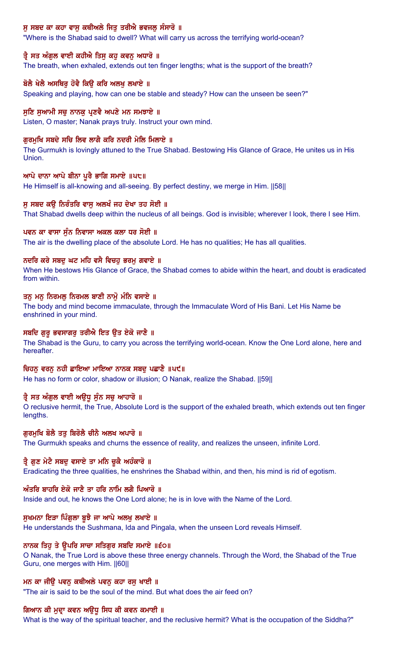# ਸੂ ਸਬਦ ਕਾ ਕਹਾ ਵਾਸੂ ਕਥੀਅਲੇ ਜਿਤੂ ਤਰੀਐ ਭਵਜਲੂ ਸੰਸਾਰੋ ॥

"Where is the Shabad said to dwell? What will carry us across the terrifying world-ocean?

#### ਤ੍ਰੈ ਸਤ ਅੰਗੁਲ ਵਾਈ ਕਹੀਐ ਤਿਸੂ ਕਹੂ ਕਵਨੂ ਅਧਾਰੋ ॥

The breath, when exhaled, extends out ten finger lengths; what is the support of the breath?

#### ਬੋਲੈ ਖੇਲੈ ਅਸਥਿਰੂ ਹੋਵੈ ਕਿਉ ਕਰਿ ਅਲਖੂ ਲਖਾਏ ॥

Speaking and playing, how can one be stable and steady? How can the unseen be seen?"

#### ਸੁਣਿ ਸੁਆਮੀ ਸਚੁ ਨਾਨਕੁ ਪ੍ਰਣਵੈ ਅਪਣੇ ਮਨ ਸਮਝਾਏ ॥

Listen, O master; Nanak prays truly. Instruct your own mind.

#### ਗੁਰਮੁਖਿ ਸਬਦੇ ਸਚਿ ਲਿਵ ਲਾਗੈ ਕਰਿ ਨਦਰੀ ਮੇਲਿ ਮਿਲਾਏ ॥

The Gurmukh is lovingly attuned to the True Shabad. Bestowing His Glance of Grace, He unites us in His **Union** 

#### ਆਪੇ ਦਾਨਾ ਆਪੇ ਬੀਨਾ ਪਰੈ ਭਾਗਿ ਸਮਾਏ ॥੫੮॥

He Himself is all-knowing and all-seeing. By perfect destiny, we merge in Him. [[58]]

#### ਸ ਸਬਦ ਕੳ ਨਿਰੰਤਰਿ ਵਾਸ ਅਲਖੰ ਜਹ ਦੇਖਾ ਤਹ ਸੋਈ ॥

That Shabad dwells deep within the nucleus of all beings. God is invisible; wherever I look, there I see Him.

#### ਪਵਨ ਕਾ ਵਾਸਾ ਸੁੰਨ ਨਿਵਾਸਾ ਅਕਲ ਕਲਾ ਧਰ ਸੋਈ ॥

The air is the dwelling place of the absolute Lord. He has no qualities; He has all qualities.

#### ਨਦਰਿ ਕਰੇ ਸਬਦੂ ਘਟ ਮਹਿ ਵਸੈ ਵਿਚਹੁ ਭਰਮੂ ਗਵਾਏ ॥

When He bestows His Glance of Grace, the Shabad comes to abide within the heart, and doubt is eradicated from within.

#### ਤਨੂ ਮਨੂ ਨਿਰਮਲੂ ਨਿਰਮਲ ਬਾਣੀ ਨਾਮੁੋ ਮੰਨਿ ਵਸਾਏ ॥

The body and mind become immaculate, through the Immaculate Word of His Bani. Let His Name be enshrined in your mind.

#### ਸਬਦਿ ਗੁਰੂ ਭਵਸਾਗਰੂ ਤਰੀਐ ਇਤ ਉਤ ਏਕੋ ਜਾਣੈ ॥

The Shabad is the Guru, to carry you across the terrifying world-ocean. Know the One Lord alone, here and hereafter.

#### ਚਿਹਨੂ ਵਰਨੂ ਨਹੀ ਛਾਇਆ ਮਾਇਆ ਨਾਨਕ ਸਬਦੂ ਪਛਾਣੈ ॥ਪ੯॥

He has no form or color, shadow or illusion; O Nanak, realize the Shabad. ||59||

#### ਤ੍ਰੈ ਸਤ ਅੰਗੁਲ ਵਾਈ ਅਉਧੂ ਸੁੰਨ ਸਚੂ ਆਹਾਰੋ ॥

O reclusive hermit, the True, Absolute Lord is the support of the exhaled breath, which extends out ten finger lengths.

#### ਗਰਮਖਿ ਬੋਲੈ ਤਤ ਬਿਰੋਲੈ ਚੀਨੈ ਅਲਖ ਅਪਾਰੋ ॥

The Gurmukh speaks and churns the essence of reality, and realizes the unseen, infinite Lord.

#### ਤ੍ਰੈ ਗੁਣ ਮੇਟੈ ਸਬਦੂ ਵਸਾਏ ਤਾ ਮਨਿ ਚੁਕੈ ਅਹੰਕਾਰੋ ॥

Eradicating the three qualities, he enshrines the Shabad within, and then, his mind is rid of egotism.

#### ਅੰਤਰਿ ਬਾਹਰਿ ਏਕੋ ਜਾਣੈ ਤਾ ਹਰਿ ਨਾਮਿ ਲਗੈ ਪਿਆਰੋ ॥

Inside and out, he knows the One Lord alone; he is in love with the Name of the Lord.

#### ਸੁਖਮਨਾ ਇੜਾ ਪਿੰਗੁਲਾ ਬੁਝੈ ਜਾ ਆਪੇ ਅਲਖੂ ਲਖਾਏ ॥

He understands the Sushmana, Ida and Pingala, when the unseen Lord reveals Himself.

### ਨਾਨਕ ਤਿਹੁ ਤੇ ਉਪਰਿ ਸਾਚਾ ਸਤਿਗੁਰ ਸਬਦਿ ਸਮਾਏ ॥੬੦॥

O Nanak, the True Lord is above these three energy channels. Through the Word, the Shabad of the True Guru, one merges with Him. ||60||

#### ਮਨ ਕਾ ਜੀਉ ਪਵਨੂ ਕਥੀਅਲੇ ਪਵਨੂ ਕਹਾ ਰਸੂ ਖਾਈ ॥

"The air is said to be the soul of the mind. But what does the air feed on?

#### ਗਿਆਨ ਕੀ ਮੁਦ੍ਰਾ ਕਵਨ ਅਉਧੂ ਸਿਧ ਕੀ ਕਵਨ ਕਮਾਈ ॥

What is the way of the spiritual teacher, and the reclusive hermit? What is the occupation of the Siddha?"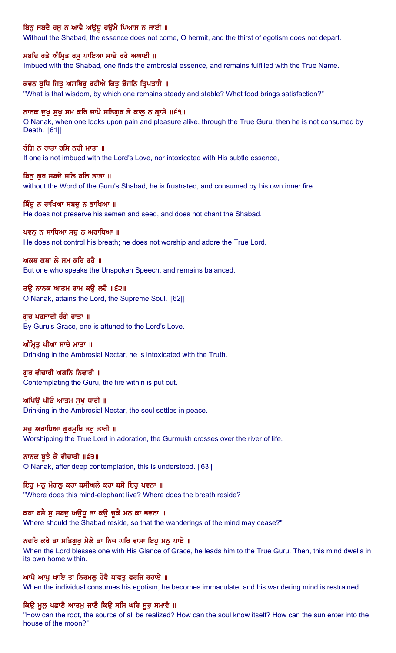# ਬਿਨੂ ਸਬਦੈ ਰਸੂ ਨ ਆਵੈ ਅਉਧੂ ਹਉਮੈ ਪਿਆਸ ਨ ਜਾਈ ॥

Without the Shabad, the essence does not come, O hermit, and the thirst of egotism does not depart.

#### ਸਬਦਿ ਰਤੇ ਅੰਮ੍ਰਿਤ ਰਸੁ ਪਾਇਆ ਸਾਚੇ ਰਹੇ ਅਘਾਈ ॥

Imbued with the Shabad, one finds the ambrosial essence, and remains fulfilled with the True Name.

#### ਕਵਨ ਬੁਧਿ ਜਿਤੂ ਅਸਥਿਰੂ ਰਹੀਐ ਕਿਤੂ ਭੋਜਨਿ ਤ੍ਰਿਪਤਾਸੈ ॥

"What is that wisdom, by which one remains steady and stable? What food brings satisfaction?"

#### ਨਾਨਕ ਦੁਖੁ ਸੁਖੁ ਸਮ ਕਰਿ ਜਾਪੈ ਸਤਿਗੁਰ ਤੇ ਕਾਲੂ ਨ ਗ੍ਰਾਸੈ ॥੬੧॥

O Nanak, when one looks upon pain and pleasure alike, through the True Guru, then he is not consumed by Death. ||61||

#### ਰੰਗਿ ਨ ਰਾਤਾ ਰਸਿ ਨਹੀ ਮਾਤਾ ॥

If one is not imbued with the Lord's Love, nor intoxicated with His subtle essence,

#### ਬਿਨ ਗਰ ਸਬਦੈ ਜਲਿ ਬਲਿ ਤਾਤਾ ॥

without the Word of the Guru's Shabad, he is frustrated, and consumed by his own inner fire.

#### ਬਿੰਦ ਨ ਰਾਖਿਆ ਸਬਦ ਨ ਭਾਖਿਆ ॥

He does not preserve his semen and seed, and does not chant the Shabad.

#### ਪਵਨੂ ਨ ਸਾਧਿਆ ਸਚੂ ਨ ਅਰਾਧਿਆ ॥

He does not control his breath; he does not worship and adore the True Lord.

### ਅਕਥ ਕਥਾ ਲੇ ਸਮ ਕਰਿ ਰਹੈ $\,$  ॥

But one who speaks the Unspoken Speech, and remains balanced,

### ਤਉ ਨਾਨਕ ਆਤਮ ਰਾਮ ਕਉ ਲਹੈ ॥੬੨॥

O Nanak, attains the Lord, the Supreme Soul. ||62||

# ਗਰ ਪਰਸਾਦੀ ਰੰਗੇ ਰਾਤਾ ॥

By Guru's Grace, one is attuned to the Lord's Love.

#### ਅੰਮ੍ਰਿਤੂ ਪੀਆ ਸਾਚੇ ਮਾਤਾ ॥

Drinking in the Ambrosial Nectar, he is intoxicated with the Truth.

#### ਗਰ ਵੀਚਾਰੀ ਅਗਨਿ ਨਿਵਾਰੀ ॥

Contemplating the Guru, the fire within is put out.

#### ਅਪਿੳ ਪੀਓ ਆਤਮ ਸਖ ਧਾਰੀ ॥

Drinking in the Ambrosial Nectar, the soul settles in peace.

#### ਸਚ ਅਰਾਧਿਆ ਗਰਮਖਿ ਤਰ ਤਾਰੀ ॥

Worshipping the True Lord in adoration, the Gurmukh crosses over the river of life.

# ਨਾਨਕ ਬੁਝੈ ਕੋ ਵੀਚਾਰੀ ॥੬੩॥

O Nanak, after deep contemplation, this is understood. ||63||

#### ਇਹ ਮਨੂ ਮੈਗਲੂ ਕਹਾ ਬਸੀਅਲੇ ਕਹਾ ਬਸੈ ਇਹੂ ਪਵਨਾ ॥

"Where does this mind-elephant live? Where does the breath reside?

#### ਕਹਾ ਬਸੈ ਸੁ ਸਬਦੁ ਅਉਧੁ ਤਾ ਕਉ ਚੁਕੈ ਮਨ ਕਾ ਭਵਨਾ ॥

Where should the Shabad reside, so that the wanderings of the mind may cease?"

#### ਨਦਰਿ ਕਰੇ ਤਾ ਸਤਿਗੁਰੂ ਮੇਲੇ ਤਾ ਨਿਜ ਘਰਿ ਵਾਸਾ ਇਹੂ ਮਨੂ ਪਾਏ ॥

When the Lord blesses one with His Glance of Grace, he leads him to the True Guru. Then, this mind dwells in its own home within.

# ਆਪੈ ਆਪੁ ਖਾਇ ਤਾ ਨਿਰਮਲੁ ਹੋਵੈ ਧਾਵਤੁ ਵਰਜਿ ਰਹਾਏ ॥

When the individual consumes his egotism, he becomes immaculate, and his wandering mind is restrained.

### ਕਿਉ ਮੂਲ ਪਛਾਣੈ ਆਤਮੂ ਜਾਣੈ ਕਿਉ ਸਸਿ ਘਰਿ ਸੁਰੂ ਸਮਾਵੈ ॥

"How can the root, the source of all be realized? How can the soul know itself? How can the sun enter into the house of the moon?"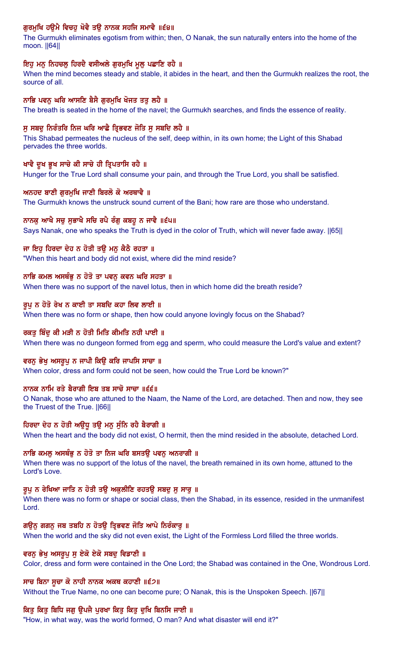# ਗੁਰਮੁਖਿ ਹਉਮੈ ਵਿਚਹੁ ਖੋਵੈ ਤਉ ਨਾਨਕ ਸਹਜਿ ਸਮਾਵੈ ॥੬੪॥

The Gurmukh eliminates egotism from within; then, O Nanak, the sun naturally enters into the home of the moon. ||64||

#### ਇਹੁ ਮਨੁ ਨਿਹਚਲੁ ਹਿਰਦੈ ਵਸੀਅਲੇ ਗੁਰਮੁਖਿ ਮੁਲੁ ਪਛਾਣਿ ਰਹੈ ॥

When the mind becomes steady and stable, it abides in the heart, and then the Gurmukh realizes the root, the source of all.

#### ਨਾਭਿ ਪਵਨੂ ਘਰਿ ਆਸਣਿ ਬੈਸੈ ਗੁਰਮੁਖਿ ਖੋਜਤ ਤਤੂ ਲਹੈ ॥

The breath is seated in the home of the navel; the Gurmukh searches, and finds the essence of reality.

### ਸੂ ਸਬਦੂ ਨਿਰੰਤਰਿ ਨਿਜ ਘਰਿ ਆਛੈ ਤ੍ਰਿਭਵਣ ਜੋਤਿ ਸੂ ਸਬਦਿ ਲਹੈ ॥

This Shabad permeates the nucleus of the self, deep within, in its own home; the Light of this Shabad pervades the three worlds.

#### ਖਾਵੈ ਦੁਖ ਭੁਖ ਸਾਚੇ ਕੀ ਸਾਚੇ ਹੀ ਤ੍ਰਿਪਤਾਸਿ ਰਹੈ ॥

Hunger for the True Lord shall consume your pain, and through the True Lord, you shall be satisfied.

#### ਅਨਹਦ ਬਾਣੀ ਗਰਮਖਿ ਜਾਣੀ ਬਿਰਲੋ ਕੋ ਅਰਥਾਵੈ ॥

The Gurmukh knows the unstruck sound current of the Bani; how rare are those who understand.

# ਨਾਨਕੁ ਆਖੈ ਸਚੁ ਸੁਭਾਖੈ ਸਚਿ ਰਪੈ ਰੰਗੁ ਕਬਹੁ ਨ ਜਾਵੈ ॥੬੫॥

Says Nanak, one who speaks the Truth is dyed in the color of Truth, which will never fade away. ||65||

#### ਜਾ ਇਹ ਹਿਰਦਾ ਦੇਹ ਨ ਹੋਤੀ ਤੳ ਮਨ ਕੈਠੈ ਰਹਤਾ ॥

"When this heart and body did not exist, where did the mind reside?

#### ਨਾਭਿ ਕਮਲ ਅਸਥੰਭ ਨ ਹੋਤੋ ਤਾ ਪਵਨ ਕਵਨ ਘਰਿ ਸਹਤਾ ॥

When there was no support of the navel lotus, then in which home did the breath reside?

#### ਰੂਪੂ ਨ ਹੋਤੋ ਰੇਖ ਨ ਕਾਈ ਤਾ ਸਬਦਿ ਕਹਾ ਲਿਵ ਲਾਈ ॥

When there was no form or shape, then how could anyone lovingly focus on the Shabad?

#### ਰਕਤੂ ਬਿੰਦੂ ਕੀ ਮੜੀ ਨ ਹੋਤੀ ਮਿਤਿ ਕੀਮਤਿ ਨਹੀ ਪਾਈ ॥

When there was no dungeon formed from egg and sperm, who could measure the Lord's value and extent?

#### ਵਰਨ ਭੇਖ ਅਸਰੂਪ ਨ ਜਾਪੀ ਕਿਉ ਕਰਿ ਜਾਪਸਿ ਸਾਚਾ ॥

When color, dress and form could not be seen, how could the True Lord be known?"

# ਨਾਨਕ ਨਾਮਿ ਰਤੇ ਬੈਰਾਗੀ ਇਬ ਤਬ ਸਾਚੋ ਸਾਚਾ ॥੬੬॥

O Nanak, those who are attuned to the Naam, the Name of the Lord, are detached. Then and now, they see the Truest of the True. ||66||

#### ਹਿਰਦਾ ਦੇਹ ਨ ਹੋਤੀ ਅਉਧੂ ਤਉ ਮਨੂ ਸੁੰਨਿ ਰਹੈ ਬੈਰਾਗੀ ॥

When the heart and the body did not exist, O hermit, then the mind resided in the absolute, detached Lord.

### ਨਾਭਿ ਕਮਲ ਅਸਥੰਭ ਨ ਹੋਤੋ ਤਾ ਨਿਜ ਘਰਿ ਬਸਤੳ ਪਵਨ ਅਨਰਾਗੀ ॥

When there was no support of the lotus of the navel, the breath remained in its own home, attuned to the Lord's Love.

#### ਰੂਪੂ ਨ ਰੇਖਿਆ ਜਾਤਿ ਨ ਹੋਤੀ ਤਉ ਅਕੁਲੀਣਿ ਰਹਤਉ ਸਬਦੂ ਸੂ ਸਾਰੂ ॥

When there was no form or shape or social class, then the Shabad, in its essence, resided in the unmanifest Lord.

### ਗਉਨੂ ਗਗਨੂ ਜਬ ਤਬਹਿ ਨ ਹੋਤਉ ਤ੍ਰਿਭਵਣ ਜੋਤਿ ਆਪੇ ਨਿਰੱਕਾਰੂ ॥

When the world and the sky did not even exist, the Light of the Formless Lord filled the three worlds.

#### ਵਰਨੂ ਭੇਖੂ ਅਸਰੂਪੂ ਸੂ ਏਕੋ ਏਕੋ ਸਬਦੂ ਵਿਡਾਣੀ ॥

Color, dress and form were contained in the One Lord; the Shabad was contained in the One, Wondrous Lord.

#### ਸਾਚ ਬਿਨਾ ਸੂਚਾ ਕੋ ਨਾਹੀ ਨਾਨਕ ਅਕਥ ਕਹਾਣੀ ॥੬੭॥

Without the True Name, no one can become pure; O Nanak, this is the Unspoken Speech. [67]

# ਕਿਤੂ ਕਿਤੂ ਬਿਧਿ ਜਗੂ ਉਪਜੈ ਪੂਰਖਾ ਕਿਤੂ ਕਿਤੂ ਦੁਖਿ ਬਿਨਸਿ ਜਾਈ ॥

"How, in what way, was the world formed, O man? And what disaster will end it?"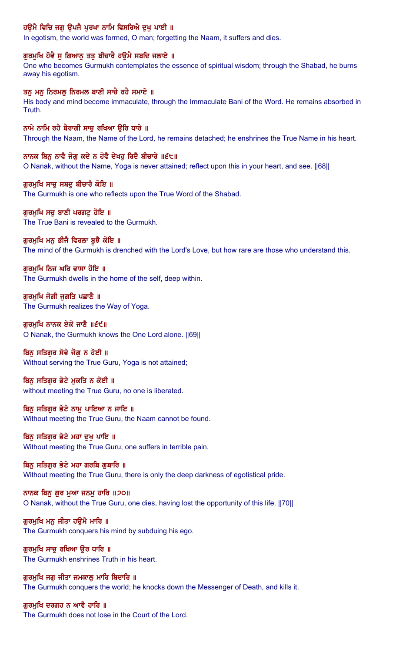# ਹਉਮੈ ਵਿਚਿ ਜਗੂ ਉਪਜੈ ਪੂਰਖਾ ਨਾਮਿ ਵਿਸਰਿਐ ਦੁਖੂ ਪਾਈ ॥

In egotism, the world was formed, O man; forgetting the Naam, it suffers and dies.

# ਗੁਰਮੁਖਿ ਹੋਵੈ ਸੁ ਗਿਆਨੂ ਤਤੁ ਬੀਚਾਰੈ ਹਉਮੈ ਸਬਦਿ ਜਲਾਏ ॥

One who becomes Gurmukh contemplates the essence of spiritual wisdom; through the Shabad, he burns away his egotism.

#### ਤਨੂ ਮਨੂ ਨਿਰਮਲੂ ਨਿਰਮਲ ਬਾਣੀ ਸਾਚੈ ਰਹੈ ਸਮਾਏ ॥

His body and mind become immaculate, through the Immaculate Bani of the Word. He remains absorbed in Truth.

#### ਨਾਮੇ ਨਾਮਿ ਰਹੈ ਬੈਰਾਗੀ ਸਾਚੂ ਰਖਿਆ ਉਰਿ ਧਾਰੇ ॥

Through the Naam, the Name of the Lord, he remains detached; he enshrines the True Name in his heart.

#### ਨਾਨਕ ਬਿਨੂ ਨਾਵੈ ਜੋਗੂ ਕਦੇ ਨ ਹੋਵੈ ਦੇਖਹੂ ਰਿਦੈ ਬੀਚਾਰੇ ॥੬੮॥

O Nanak, without the Name, Yoga is never attained; reflect upon this in your heart, and see. ||68||

#### ਗਰਮਖਿ ਸਾਚ ਸਬਦ ਬੀਚਾਰੈ ਕੋਇ ॥

The Gurmukh is one who reflects upon the True Word of the Shabad.

#### ਗੁਰਮੁਖਿ ਸਚੁ ਬਾਣੀ ਪਰਗਟੁ ਹੋਇ ॥

The True Bani is revealed to the Gurmukh.

#### ਗਰਮਖਿ ਮਨ ਭੀਜੈ ਵਿਰਲਾ ਬਝੈ ਕੋਇ ॥

The mind of the Gurmukh is drenched with the Lord's Love, but how rare are those who understand this.

# ਗੁਰਮੁਖਿ ਨਿਜ ਘਰਿ ਵਾਸਾ ਹੋਇ ॥

The Gurmukh dwells in the home of the self, deep within.

#### ਗੁਰਮੁਖਿ ਜੋਗੀ ਜੁਗਤਿ ਪਛਾਣੈ ॥ The Gurmukh realizes the Way of Yoga.

ਗਰਮਖਿ ਨਾਨਕ ਏਕੋ ਜਾਣੈ ॥੬੯॥ O Nanak, the Gurmukh knows the One Lord alone. ||69||

#### ਬਿਨੂ ਸਤਿਗੁਰ ਸੇਵੇ ਜੋਗੂ ਨ ਹੋਈ ॥

Without serving the True Guru, Yoga is not attained;

#### ਬਿਨ ਸਤਿਗਰ ਭੇਟੇ ਮਕਤਿ ਨ ਕੋਈ ॥ without meeting the True Guru, no one is liberated.

ਬਿਨ ਸਤਿਗਰ ਭੇਟੇ ਨਾਮ ਪਾਇਆ ਨ ਜਾਇ ॥ Without meeting the True Guru, the Naam cannot be found.

#### ਬਿਨੂ ਸਤਿਗੁਰ ਭੇਟੇ ਮਹਾ ਦੁਖੂ ਪਾਇ ॥ Without meeting the True Guru, one suffers in terrible pain.

ਬਿਨੂ ਸਤਿਗੁਰ ਭੇਟੇ ਮਹਾ ਗਰਬਿ ਗੁਬਾਰਿ ॥ Without meeting the True Guru, there is only the deep darkness of egotistical pride.

# ਨਾਨਕ ਬਿਨੂ ਗੁਰ ਮੁਆ ਜਨਮੂ ਹਾਰਿ ॥੭੦॥

O Nanak, without the True Guru, one dies, having lost the opportunity of this life. ||70||

#### ਗਰਮਖਿ ਮਨ ਜੀਤਾ ਹੳਮੈ ਮਾਰਿ ॥

The Gurmukh conquers his mind by subduing his ego.

#### ਗੁਰਮੁਖਿ ਸਾਚੁ ਰਖਿਆ ਉਰ ਧਾਰਿ ॥ The Gurmukh enshrines Truth in his heart.

# ਗੁਰਮੁਖਿ ਜਗੁ ਜੀਤਾ ਜਮਕਾਲੂ ਮਾਰਿ ਬਿਦਾਰਿ ॥ The Gurmukh conquers the world; he knocks down the Messenger of Death, and kills it.

#### ਗਰਮਖਿ ਦਰਗਹ ਨ ਆਵੈ ਹਾਰਿ ॥

The Gurmukh does not lose in the Court of the Lord.